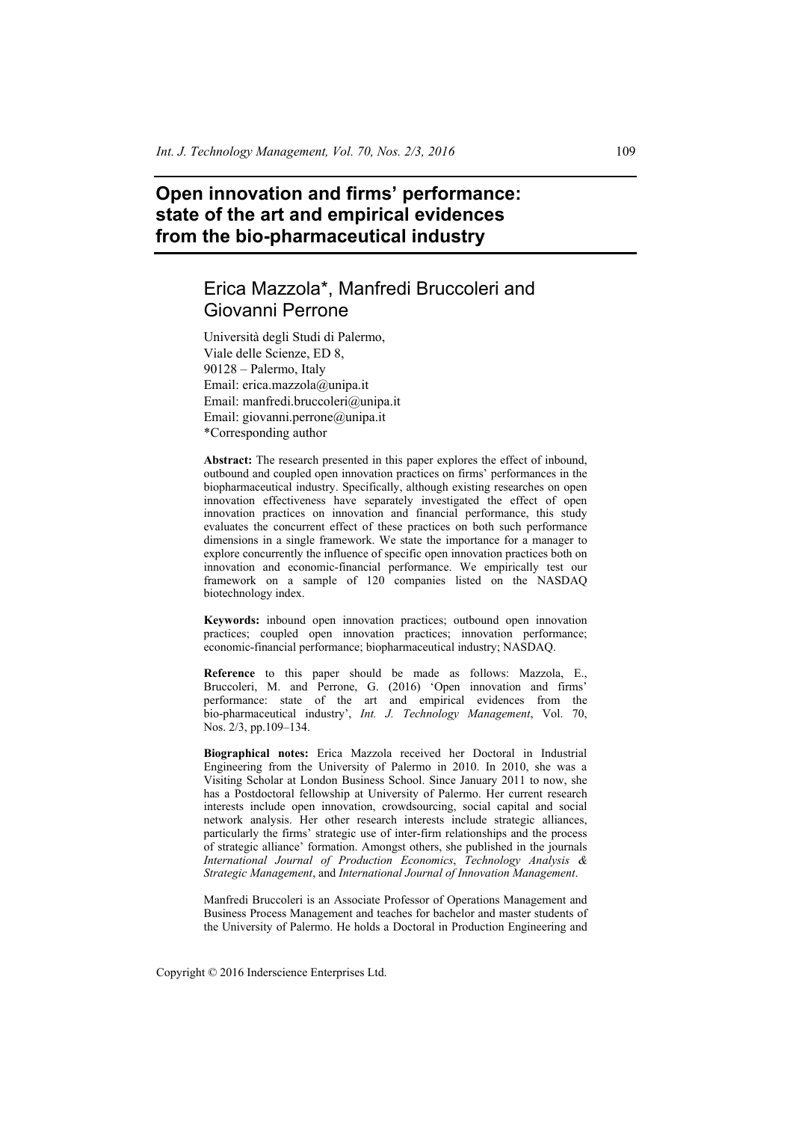# **Open innovation and firms' performance: state of the art and empirical evidences from the bio-pharmaceutical industry**

# Erica Mazzola\*, Manfredi Bruccoleri and Giovanni Perrone

Università degli Studi di Palermo, Viale delle Scienze, ED 8, 90128 – Palermo, Italy Email: erica.mazzola@unipa.it Email: manfredi.bruccoleri@unipa.it Email: giovanni.perrone@unipa.it \*Corresponding author

**Abstract:** The research presented in this paper explores the effect of inbound, outbound and coupled open innovation practices on firms' performances in the biopharmaceutical industry. Specifically, although existing researches on open innovation effectiveness have separately investigated the effect of open innovation practices on innovation and financial performance, this study evaluates the concurrent effect of these practices on both such performance dimensions in a single framework. We state the importance for a manager to explore concurrently the influence of specific open innovation practices both on innovation and economic-financial performance. We empirically test our framework on a sample of 120 companies listed on the NASDAQ biotechnology index.

**Keywords:** inbound open innovation practices; outbound open innovation practices; coupled open innovation practices; innovation performance; economic-financial performance; biopharmaceutical industry; NASDAQ.

**Reference** to this paper should be made as follows: Mazzola, E., Bruccoleri, M. and Perrone, G. (2016) 'Open innovation and firms' performance: state of the art and empirical evidences from the bio-pharmaceutical industry', *Int. J. Technology Management*, Vol. 70, Nos. 2/3, pp.109–134.

**Biographical notes:** Erica Mazzola received her Doctoral in Industrial Engineering from the University of Palermo in 2010. In 2010, she was a Visiting Scholar at London Business School. Since January 2011 to now, she has a Postdoctoral fellowship at University of Palermo. Her current research interests include open innovation, crowdsourcing, social capital and social network analysis. Her other research interests include strategic alliances, particularly the firms' strategic use of inter-firm relationships and the process of strategic alliance' formation. Amongst others, she published in the journals *International Journal of Production Economics*, *Technology Analysis & Strategic Management*, and *International Journal of Innovation Management*.

Manfredi Bruccoleri is an Associate Professor of Operations Management and Business Process Management and teaches for bachelor and master students of the University of Palermo. He holds a Doctoral in Production Engineering and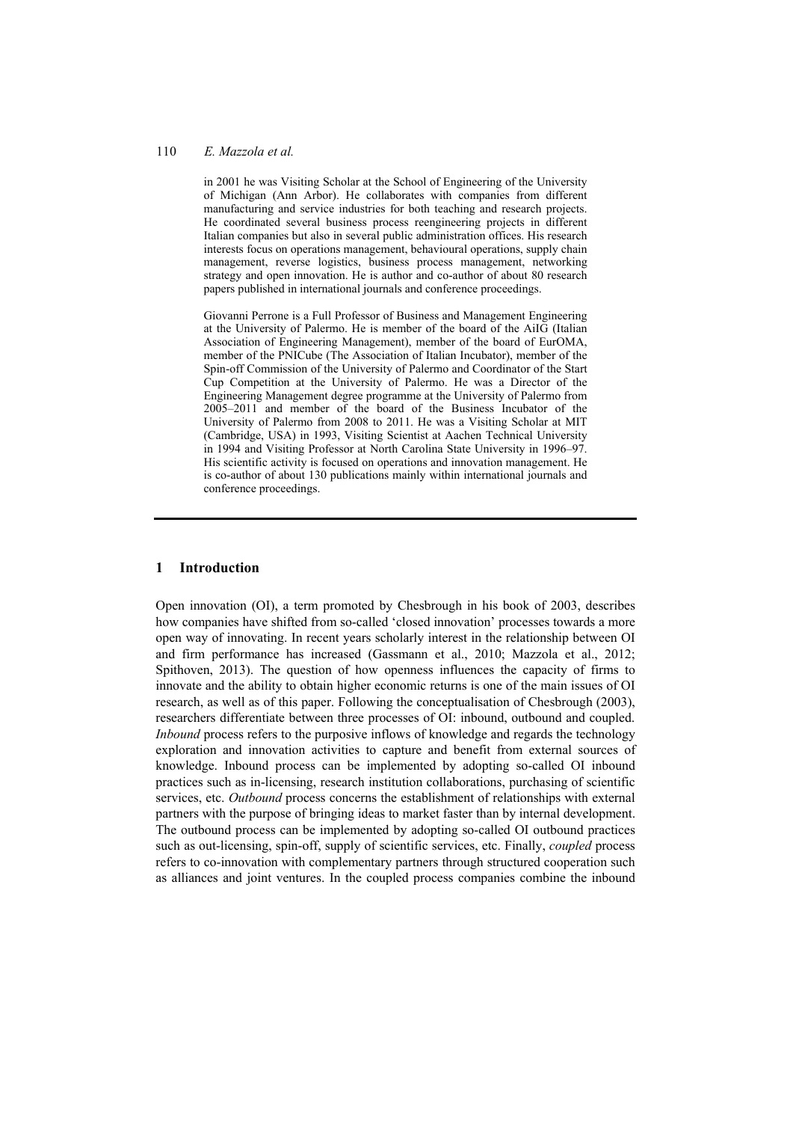in 2001 he was Visiting Scholar at the School of Engineering of the University of Michigan (Ann Arbor). He collaborates with companies from different manufacturing and service industries for both teaching and research projects. He coordinated several business process reengineering projects in different Italian companies but also in several public administration offices. His research interests focus on operations management, behavioural operations, supply chain management, reverse logistics, business process management, networking strategy and open innovation. He is author and co-author of about 80 research papers published in international journals and conference proceedings.

Giovanni Perrone is a Full Professor of Business and Management Engineering at the University of Palermo. He is member of the board of the AiIG (Italian Association of Engineering Management), member of the board of EurOMA, member of the PNICube (The Association of Italian Incubator), member of the Spin-off Commission of the University of Palermo and Coordinator of the Start Cup Competition at the University of Palermo. He was a Director of the Engineering Management degree programme at the University of Palermo from 2005–2011 and member of the board of the Business Incubator of the University of Palermo from 2008 to 2011. He was a Visiting Scholar at MIT (Cambridge, USA) in 1993, Visiting Scientist at Aachen Technical University in 1994 and Visiting Professor at North Carolina State University in 1996–97. His scientific activity is focused on operations and innovation management. He is co-author of about 130 publications mainly within international journals and conference proceedings.

#### **1 Introduction**

Open innovation (OI), a term promoted by Chesbrough in his book of 2003, describes how companies have shifted from so-called 'closed innovation' processes towards a more open way of innovating. In recent years scholarly interest in the relationship between OI and firm performance has increased (Gassmann et al., 2010; Mazzola et al., 2012; Spithoven, 2013). The question of how openness influences the capacity of firms to innovate and the ability to obtain higher economic returns is one of the main issues of OI research, as well as of this paper. Following the conceptualisation of Chesbrough (2003), researchers differentiate between three processes of OI: inbound, outbound and coupled. *Inbound* process refers to the purposive inflows of knowledge and regards the technology exploration and innovation activities to capture and benefit from external sources of knowledge. Inbound process can be implemented by adopting so-called OI inbound practices such as in-licensing, research institution collaborations, purchasing of scientific services, etc. *Outbound* process concerns the establishment of relationships with external partners with the purpose of bringing ideas to market faster than by internal development. The outbound process can be implemented by adopting so-called OI outbound practices such as out-licensing, spin-off, supply of scientific services, etc. Finally, *coupled* process refers to co-innovation with complementary partners through structured cooperation such as alliances and joint ventures. In the coupled process companies combine the inbound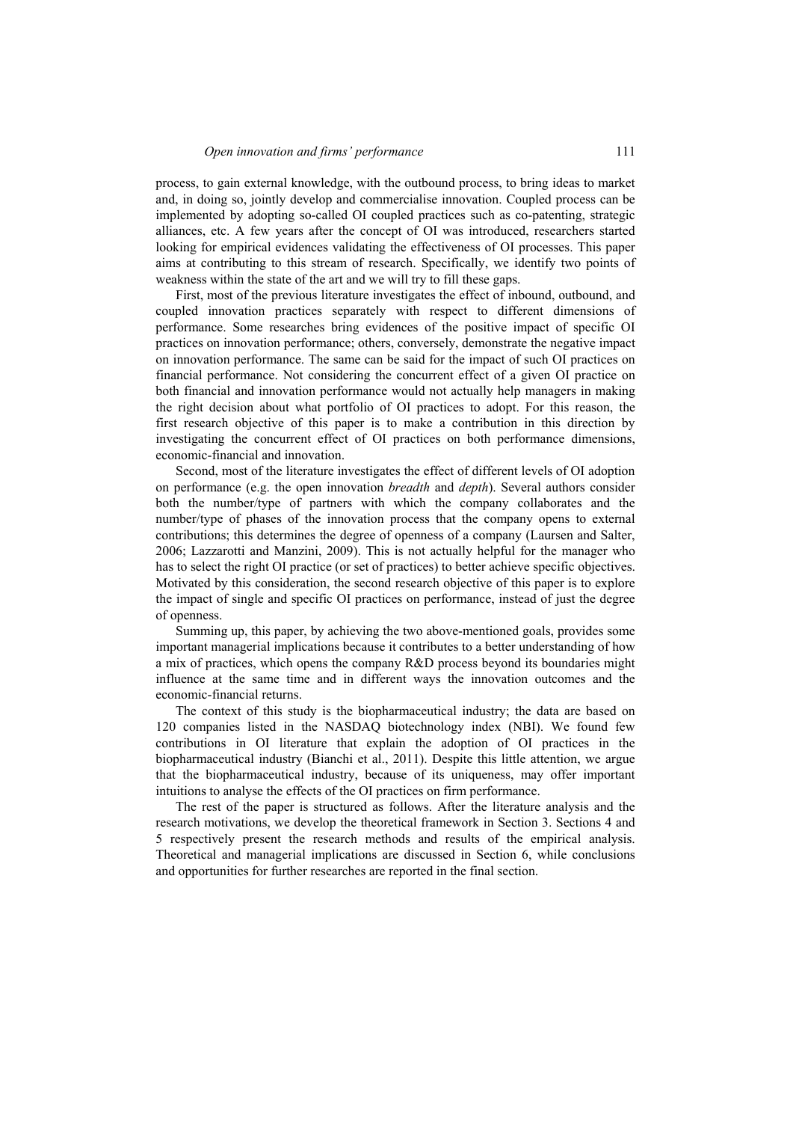process, to gain external knowledge, with the outbound process, to bring ideas to market and, in doing so, jointly develop and commercialise innovation. Coupled process can be implemented by adopting so-called OI coupled practices such as co-patenting, strategic alliances, etc. A few years after the concept of OI was introduced, researchers started looking for empirical evidences validating the effectiveness of OI processes. This paper aims at contributing to this stream of research. Specifically, we identify two points of weakness within the state of the art and we will try to fill these gaps.

First, most of the previous literature investigates the effect of inbound, outbound, and coupled innovation practices separately with respect to different dimensions of performance. Some researches bring evidences of the positive impact of specific OI practices on innovation performance; others, conversely, demonstrate the negative impact on innovation performance. The same can be said for the impact of such OI practices on financial performance. Not considering the concurrent effect of a given OI practice on both financial and innovation performance would not actually help managers in making the right decision about what portfolio of OI practices to adopt. For this reason, the first research objective of this paper is to make a contribution in this direction by investigating the concurrent effect of OI practices on both performance dimensions, economic-financial and innovation.

Second, most of the literature investigates the effect of different levels of OI adoption on performance (e.g. the open innovation *breadth* and *depth*). Several authors consider both the number/type of partners with which the company collaborates and the number/type of phases of the innovation process that the company opens to external contributions; this determines the degree of openness of a company (Laursen and Salter, 2006; Lazzarotti and Manzini, 2009). This is not actually helpful for the manager who has to select the right OI practice (or set of practices) to better achieve specific objectives. Motivated by this consideration, the second research objective of this paper is to explore the impact of single and specific OI practices on performance, instead of just the degree of openness.

Summing up, this paper, by achieving the two above-mentioned goals, provides some important managerial implications because it contributes to a better understanding of how a mix of practices, which opens the company R&D process beyond its boundaries might influence at the same time and in different ways the innovation outcomes and the economic-financial returns.

The context of this study is the biopharmaceutical industry; the data are based on 120 companies listed in the NASDAQ biotechnology index (NBI). We found few contributions in OI literature that explain the adoption of OI practices in the biopharmaceutical industry (Bianchi et al., 2011). Despite this little attention, we argue that the biopharmaceutical industry, because of its uniqueness, may offer important intuitions to analyse the effects of the OI practices on firm performance.

The rest of the paper is structured as follows. After the literature analysis and the research motivations, we develop the theoretical framework in Section 3. Sections 4 and 5 respectively present the research methods and results of the empirical analysis. Theoretical and managerial implications are discussed in Section 6, while conclusions and opportunities for further researches are reported in the final section.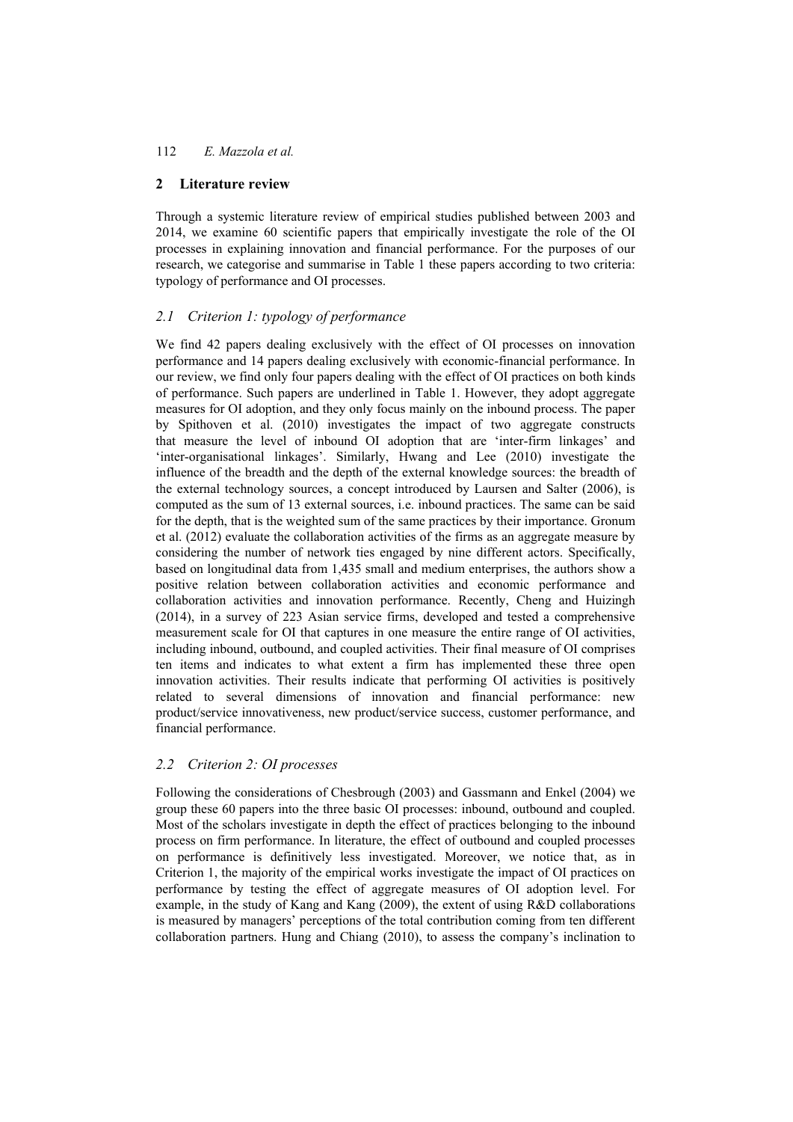#### **2 Literature review**

Through a systemic literature review of empirical studies published between 2003 and 2014, we examine 60 scientific papers that empirically investigate the role of the OI processes in explaining innovation and financial performance. For the purposes of our research, we categorise and summarise in Table 1 these papers according to two criteria: typology of performance and OI processes.

### *2.1 Criterion 1: typology of performance*

We find 42 papers dealing exclusively with the effect of OI processes on innovation performance and 14 papers dealing exclusively with economic-financial performance. In our review, we find only four papers dealing with the effect of OI practices on both kinds of performance. Such papers are underlined in Table 1. However, they adopt aggregate measures for OI adoption, and they only focus mainly on the inbound process. The paper by Spithoven et al. (2010) investigates the impact of two aggregate constructs that measure the level of inbound OI adoption that are 'inter-firm linkages' and 'inter-organisational linkages'. Similarly, Hwang and Lee (2010) investigate the influence of the breadth and the depth of the external knowledge sources: the breadth of the external technology sources, a concept introduced by Laursen and Salter (2006), is computed as the sum of 13 external sources, i.e. inbound practices. The same can be said for the depth, that is the weighted sum of the same practices by their importance. Gronum et al. (2012) evaluate the collaboration activities of the firms as an aggregate measure by considering the number of network ties engaged by nine different actors. Specifically, based on longitudinal data from 1,435 small and medium enterprises, the authors show a positive relation between collaboration activities and economic performance and collaboration activities and innovation performance. Recently, Cheng and Huizingh (2014), in a survey of 223 Asian service firms, developed and tested a comprehensive measurement scale for OI that captures in one measure the entire range of OI activities, including inbound, outbound, and coupled activities. Their final measure of OI comprises ten items and indicates to what extent a firm has implemented these three open innovation activities. Their results indicate that performing OI activities is positively related to several dimensions of innovation and financial performance: new product/service innovativeness, new product/service success, customer performance, and financial performance.

## *2.2 Criterion 2: OI processes*

Following the considerations of Chesbrough (2003) and Gassmann and Enkel (2004) we group these 60 papers into the three basic OI processes: inbound, outbound and coupled. Most of the scholars investigate in depth the effect of practices belonging to the inbound process on firm performance. In literature, the effect of outbound and coupled processes on performance is definitively less investigated. Moreover, we notice that, as in Criterion 1, the majority of the empirical works investigate the impact of OI practices on performance by testing the effect of aggregate measures of OI adoption level. For example, in the study of Kang and Kang (2009), the extent of using R&D collaborations is measured by managers' perceptions of the total contribution coming from ten different collaboration partners. Hung and Chiang (2010), to assess the company's inclination to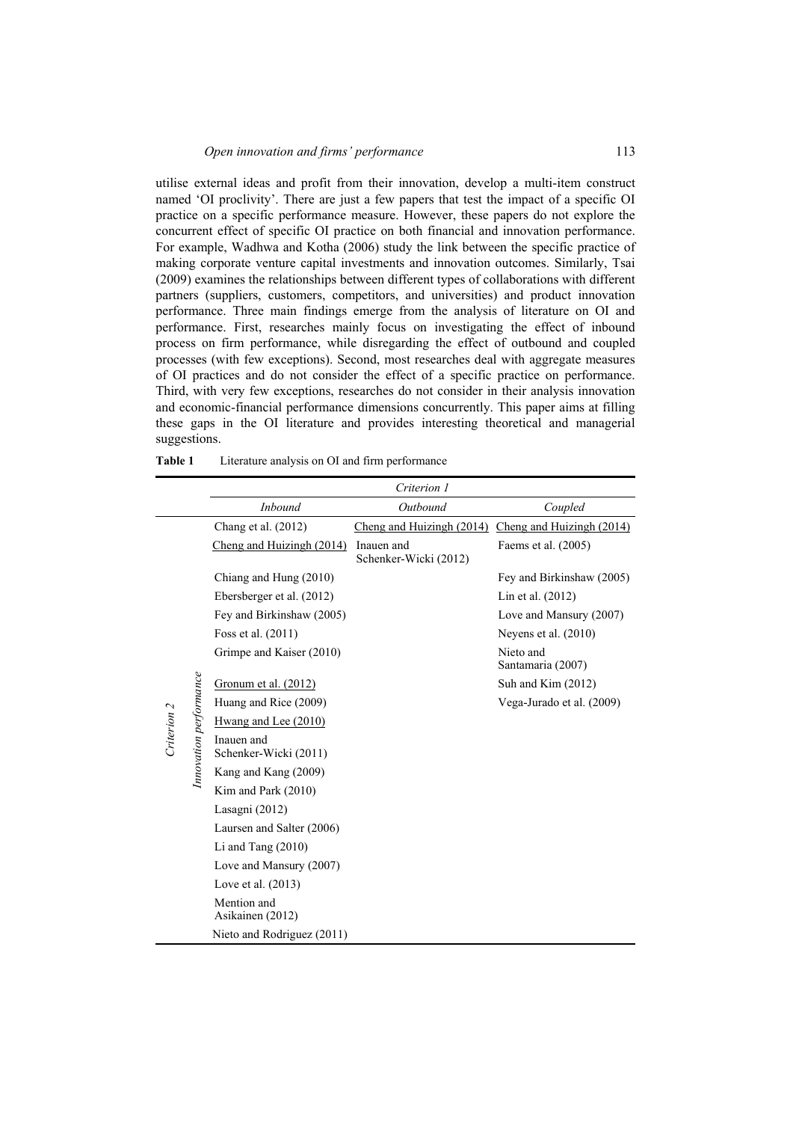utilise external ideas and profit from their innovation, develop a multi-item construct named 'OI proclivity'. There are just a few papers that test the impact of a specific OI practice on a specific performance measure. However, these papers do not explore the concurrent effect of specific OI practice on both financial and innovation performance. For example, Wadhwa and Kotha (2006) study the link between the specific practice of making corporate venture capital investments and innovation outcomes. Similarly, Tsai (2009) examines the relationships between different types of collaborations with different partners (suppliers, customers, competitors, and universities) and product innovation performance. Three main findings emerge from the analysis of literature on OI and performance. First, researches mainly focus on investigating the effect of inbound process on firm performance, while disregarding the effect of outbound and coupled processes (with few exceptions). Second, most researches deal with aggregate measures of OI practices and do not consider the effect of a specific practice on performance. Third, with very few exceptions, researches do not consider in their analysis innovation and economic-financial performance dimensions concurrently. This paper aims at filling these gaps in the OI literature and provides interesting theoretical and managerial suggestions.

|             |                        |                                     | Criterion 1                         |                                |
|-------------|------------------------|-------------------------------------|-------------------------------------|--------------------------------|
|             |                        | <b>Inbound</b>                      | Outbound                            | Coupled                        |
|             |                        | Chang et al. $(2012)$               | Cheng and Huizingh $(2014)$         | Cheng and Huizingh (2014)      |
|             |                        | Cheng and Huizingh (2014)           | Inauen and<br>Schenker-Wicki (2012) | Faems et al. (2005)            |
|             |                        | Chiang and Hung (2010)              |                                     | Fey and Birkinshaw (2005)      |
|             |                        | Ebersberger et al. (2012)           |                                     | Lin et al. (2012)              |
|             |                        | Fey and Birkinshaw (2005)           |                                     | Love and Mansury (2007)        |
|             |                        | Foss et al. (2011)                  |                                     | Neyens et al. $(2010)$         |
|             |                        | Grimpe and Kaiser (2010)            |                                     | Nieto and<br>Santamaria (2007) |
|             |                        | Gronum et al. $(2012)$              |                                     | Suh and Kim $(2012)$           |
|             |                        | Huang and Rice (2009)               |                                     | Vega-Jurado et al. (2009)      |
|             |                        | Hwang and Lee (2010)                |                                     |                                |
| Criterion 2 | Innovation performance | Inauen and<br>Schenker-Wicki (2011) |                                     |                                |
|             |                        | Kang and Kang (2009)                |                                     |                                |
|             |                        | Kim and Park (2010)                 |                                     |                                |
|             |                        | Lasagni (2012)                      |                                     |                                |
|             |                        | Laursen and Salter (2006)           |                                     |                                |
|             |                        | Li and Tang $(2010)$                |                                     |                                |
|             |                        | Love and Mansury (2007)             |                                     |                                |
|             |                        | Love et al. $(2013)$                |                                     |                                |
|             |                        | Mention and<br>Asikainen (2012)     |                                     |                                |
|             |                        | Nieto and Rodriguez (2011)          |                                     |                                |

|  | Table 1 | Literature analysis on OI and firm performance |  |  |  |
|--|---------|------------------------------------------------|--|--|--|
|--|---------|------------------------------------------------|--|--|--|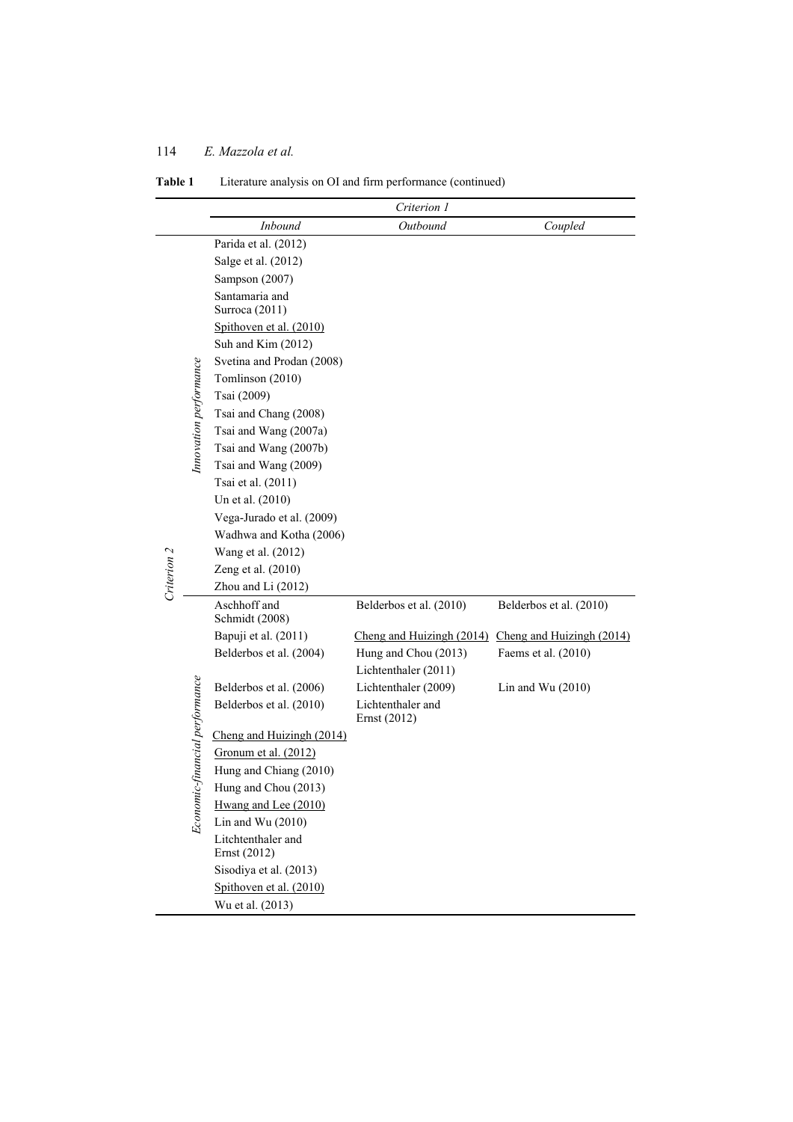# **Table 1** Literature analysis on OI and firm performance (continued)

|             |                          |                                    | Criterion 1                       |                           |
|-------------|--------------------------|------------------------------------|-----------------------------------|---------------------------|
|             |                          | Inbound                            | Outbound                          | Coupled                   |
|             |                          | Parida et al. (2012)               |                                   |                           |
|             |                          | Salge et al. (2012)                |                                   |                           |
|             |                          | Sampson (2007)                     |                                   |                           |
|             |                          | Santamaria and<br>Surroca (2011)   |                                   |                           |
|             |                          | Spithoven et al. (2010)            |                                   |                           |
|             |                          | Suh and Kim (2012)                 |                                   |                           |
|             |                          | Svetina and Prodan (2008)          |                                   |                           |
|             |                          | Tomlinson (2010)                   |                                   |                           |
|             |                          | Tsai (2009)                        |                                   |                           |
|             |                          | Tsai and Chang (2008)              |                                   |                           |
|             |                          | Tsai and Wang (2007a)              |                                   |                           |
|             |                          | Tsai and Wang (2007b)              |                                   |                           |
|             | Innovation performance   | Tsai and Wang (2009)               |                                   |                           |
|             |                          | Tsai et al. (2011)                 |                                   |                           |
|             |                          | Un et al. (2010)                   |                                   |                           |
|             |                          | Vega-Jurado et al. (2009)          |                                   |                           |
|             |                          | Wadhwa and Kotha (2006)            |                                   |                           |
| Criterion 2 |                          | Wang et al. (2012)                 |                                   |                           |
|             |                          | Zeng et al. (2010)                 |                                   |                           |
|             |                          | Zhou and Li (2012)                 |                                   |                           |
|             |                          | Aschhoff and<br>Schmidt (2008)     | Belderbos et al. (2010)           | Belderbos et al. (2010)   |
|             |                          | Bapuji et al. (2011)               | Cheng and Huizingh (2014)         | Cheng and Huizingh (2014) |
|             |                          | Belderbos et al. (2004)            | Hung and Chou (2013)              | Faems et al. (2010)       |
|             |                          |                                    | Lichtenthaler (2011)              |                           |
|             |                          | Belderbos et al. (2006)            | Lichtenthaler (2009)              | Lin and Wu $(2010)$       |
|             | ic-financial performance | Belderbos et al. (2010)            | Lichtenthaler and<br>Ernst (2012) |                           |
|             |                          | Cheng and Huizingh (2014)          |                                   |                           |
|             |                          | Gronum et al. (2012)               |                                   |                           |
|             |                          | Hung and Chiang (2010)             |                                   |                           |
|             |                          | Hung and Chou (2013)               |                                   |                           |
|             | Econom                   | Hwang and Lee (2010)               |                                   |                           |
|             |                          | Lin and Wu $(2010)$                |                                   |                           |
|             |                          | Litchtenthaler and<br>Ernst (2012) |                                   |                           |
|             |                          | Sisodiya et al. (2013)             |                                   |                           |
|             |                          | Spithoven et al. (2010)            |                                   |                           |
|             |                          | Wu et al. (2013)                   |                                   |                           |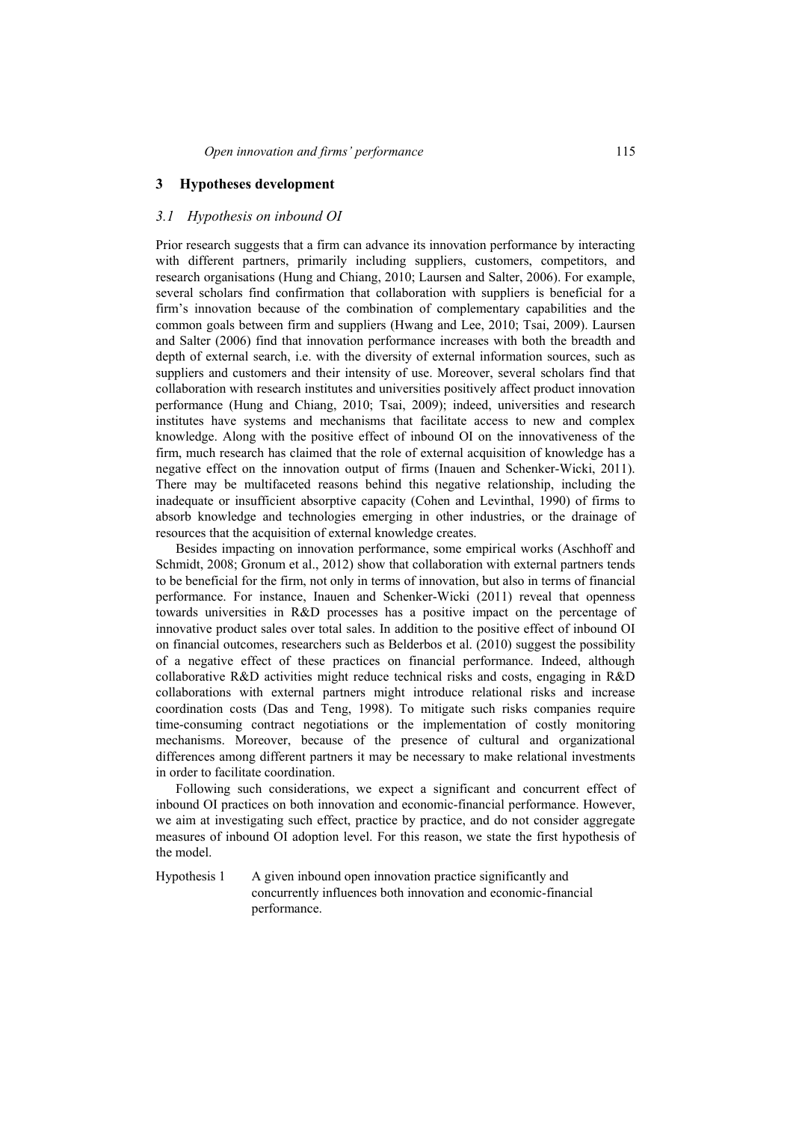### **3 Hypotheses development**

#### *3.1 Hypothesis on inbound OI*

Prior research suggests that a firm can advance its innovation performance by interacting with different partners, primarily including suppliers, customers, competitors, and research organisations (Hung and Chiang, 2010; Laursen and Salter, 2006). For example, several scholars find confirmation that collaboration with suppliers is beneficial for a firm's innovation because of the combination of complementary capabilities and the common goals between firm and suppliers (Hwang and Lee, 2010; Tsai, 2009). Laursen and Salter (2006) find that innovation performance increases with both the breadth and depth of external search, i.e. with the diversity of external information sources, such as suppliers and customers and their intensity of use. Moreover, several scholars find that collaboration with research institutes and universities positively affect product innovation performance (Hung and Chiang, 2010; Tsai, 2009); indeed, universities and research institutes have systems and mechanisms that facilitate access to new and complex knowledge. Along with the positive effect of inbound OI on the innovativeness of the firm, much research has claimed that the role of external acquisition of knowledge has a negative effect on the innovation output of firms (Inauen and Schenker-Wicki, 2011). There may be multifaceted reasons behind this negative relationship, including the inadequate or insufficient absorptive capacity (Cohen and Levinthal, 1990) of firms to absorb knowledge and technologies emerging in other industries, or the drainage of resources that the acquisition of external knowledge creates.

Besides impacting on innovation performance, some empirical works (Aschhoff and Schmidt, 2008; Gronum et al., 2012) show that collaboration with external partners tends to be beneficial for the firm, not only in terms of innovation, but also in terms of financial performance. For instance, Inauen and Schenker-Wicki (2011) reveal that openness towards universities in R&D processes has a positive impact on the percentage of innovative product sales over total sales. In addition to the positive effect of inbound OI on financial outcomes, researchers such as Belderbos et al. (2010) suggest the possibility of a negative effect of these practices on financial performance. Indeed, although collaborative R&D activities might reduce technical risks and costs, engaging in R&D collaborations with external partners might introduce relational risks and increase coordination costs (Das and Teng, 1998). To mitigate such risks companies require time-consuming contract negotiations or the implementation of costly monitoring mechanisms. Moreover, because of the presence of cultural and organizational differences among different partners it may be necessary to make relational investments in order to facilitate coordination.

Following such considerations, we expect a significant and concurrent effect of inbound OI practices on both innovation and economic-financial performance. However, we aim at investigating such effect, practice by practice, and do not consider aggregate measures of inbound OI adoption level. For this reason, we state the first hypothesis of the model.

Hypothesis 1 A given inbound open innovation practice significantly and concurrently influences both innovation and economic-financial performance.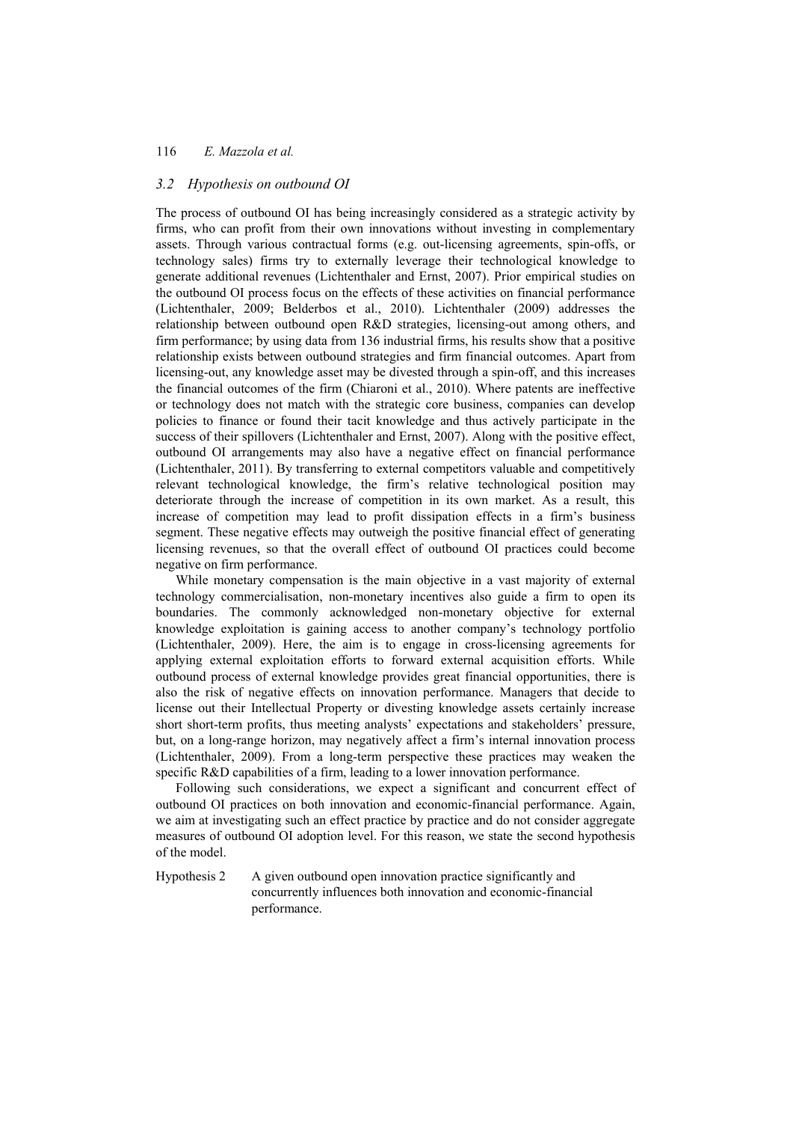#### *3.2 Hypothesis on outbound OI*

The process of outbound OI has being increasingly considered as a strategic activity by firms, who can profit from their own innovations without investing in complementary assets. Through various contractual forms (e.g. out-licensing agreements, spin-offs, or technology sales) firms try to externally leverage their technological knowledge to generate additional revenues (Lichtenthaler and Ernst, 2007). Prior empirical studies on the outbound OI process focus on the effects of these activities on financial performance (Lichtenthaler, 2009; Belderbos et al., 2010). Lichtenthaler (2009) addresses the relationship between outbound open R&D strategies, licensing-out among others, and firm performance; by using data from 136 industrial firms, his results show that a positive relationship exists between outbound strategies and firm financial outcomes. Apart from licensing-out, any knowledge asset may be divested through a spin-off, and this increases the financial outcomes of the firm (Chiaroni et al., 2010). Where patents are ineffective or technology does not match with the strategic core business, companies can develop policies to finance or found their tacit knowledge and thus actively participate in the success of their spillovers (Lichtenthaler and Ernst, 2007). Along with the positive effect, outbound OI arrangements may also have a negative effect on financial performance (Lichtenthaler, 2011). By transferring to external competitors valuable and competitively relevant technological knowledge, the firm's relative technological position may deteriorate through the increase of competition in its own market. As a result, this increase of competition may lead to profit dissipation effects in a firm's business segment. These negative effects may outweigh the positive financial effect of generating licensing revenues, so that the overall effect of outbound OI practices could become negative on firm performance.

While monetary compensation is the main objective in a vast majority of external technology commercialisation, non-monetary incentives also guide a firm to open its boundaries. The commonly acknowledged non-monetary objective for external knowledge exploitation is gaining access to another company's technology portfolio (Lichtenthaler, 2009). Here, the aim is to engage in cross-licensing agreements for applying external exploitation efforts to forward external acquisition efforts. While outbound process of external knowledge provides great financial opportunities, there is also the risk of negative effects on innovation performance. Managers that decide to license out their Intellectual Property or divesting knowledge assets certainly increase short short-term profits, thus meeting analysts' expectations and stakeholders' pressure, but, on a long-range horizon, may negatively affect a firm's internal innovation process (Lichtenthaler, 2009). From a long-term perspective these practices may weaken the specific R&D capabilities of a firm, leading to a lower innovation performance.

Following such considerations, we expect a significant and concurrent effect of outbound OI practices on both innovation and economic-financial performance. Again, we aim at investigating such an effect practice by practice and do not consider aggregate measures of outbound OI adoption level. For this reason, we state the second hypothesis of the model.

Hypothesis 2 A given outbound open innovation practice significantly and concurrently influences both innovation and economic-financial performance.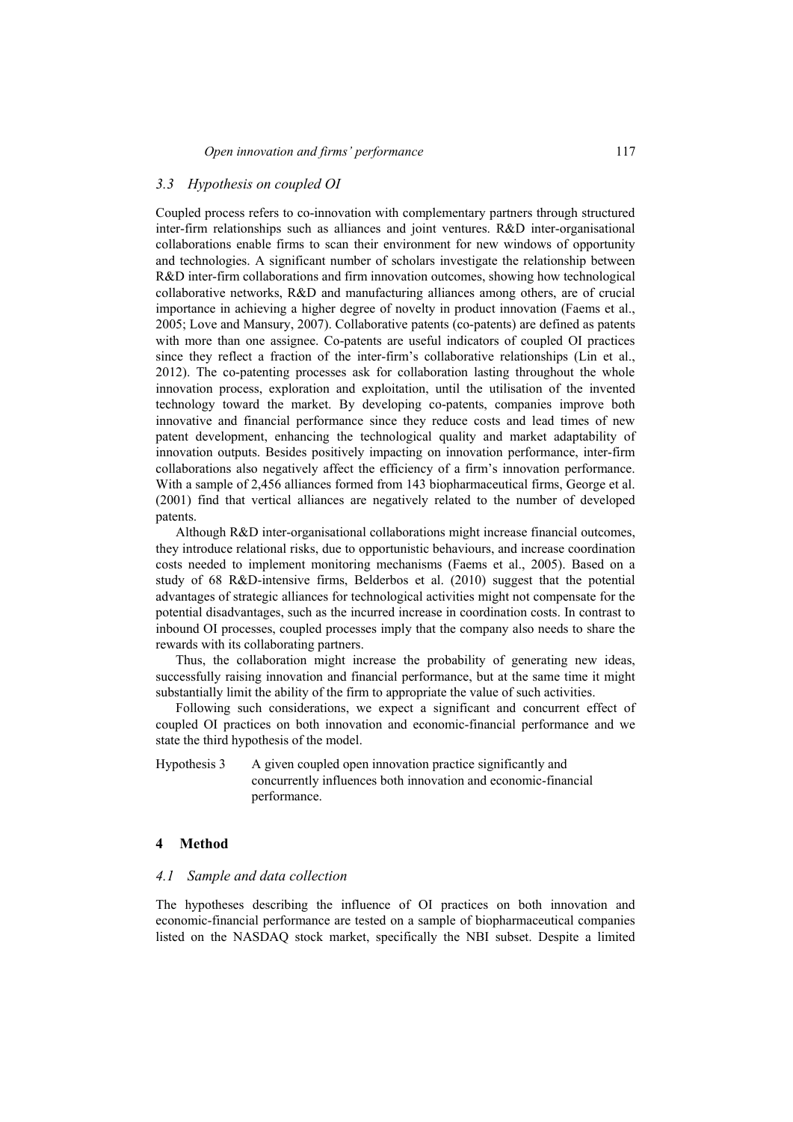#### *3.3 Hypothesis on coupled OI*

Coupled process refers to co-innovation with complementary partners through structured inter-firm relationships such as alliances and joint ventures. R&D inter-organisational collaborations enable firms to scan their environment for new windows of opportunity and technologies. A significant number of scholars investigate the relationship between R&D inter-firm collaborations and firm innovation outcomes, showing how technological collaborative networks, R&D and manufacturing alliances among others, are of crucial importance in achieving a higher degree of novelty in product innovation (Faems et al., 2005; Love and Mansury, 2007). Collaborative patents (co-patents) are defined as patents with more than one assignee. Co-patents are useful indicators of coupled OI practices since they reflect a fraction of the inter-firm's collaborative relationships (Lin et al., 2012). The co-patenting processes ask for collaboration lasting throughout the whole innovation process, exploration and exploitation, until the utilisation of the invented technology toward the market. By developing co-patents, companies improve both innovative and financial performance since they reduce costs and lead times of new patent development, enhancing the technological quality and market adaptability of innovation outputs. Besides positively impacting on innovation performance, inter-firm collaborations also negatively affect the efficiency of a firm's innovation performance. With a sample of 2,456 alliances formed from 143 biopharmaceutical firms, George et al. (2001) find that vertical alliances are negatively related to the number of developed patents.

Although R&D inter-organisational collaborations might increase financial outcomes, they introduce relational risks, due to opportunistic behaviours, and increase coordination costs needed to implement monitoring mechanisms (Faems et al., 2005). Based on a study of 68 R&D-intensive firms, Belderbos et al. (2010) suggest that the potential advantages of strategic alliances for technological activities might not compensate for the potential disadvantages, such as the incurred increase in coordination costs. In contrast to inbound OI processes, coupled processes imply that the company also needs to share the rewards with its collaborating partners.

Thus, the collaboration might increase the probability of generating new ideas, successfully raising innovation and financial performance, but at the same time it might substantially limit the ability of the firm to appropriate the value of such activities.

Following such considerations, we expect a significant and concurrent effect of coupled OI practices on both innovation and economic-financial performance and we state the third hypothesis of the model.

Hypothesis 3 A given coupled open innovation practice significantly and concurrently influences both innovation and economic-financial performance.

#### **4 Method**

#### *4.1 Sample and data collection*

The hypotheses describing the influence of OI practices on both innovation and economic-financial performance are tested on a sample of biopharmaceutical companies listed on the NASDAQ stock market, specifically the NBI subset. Despite a limited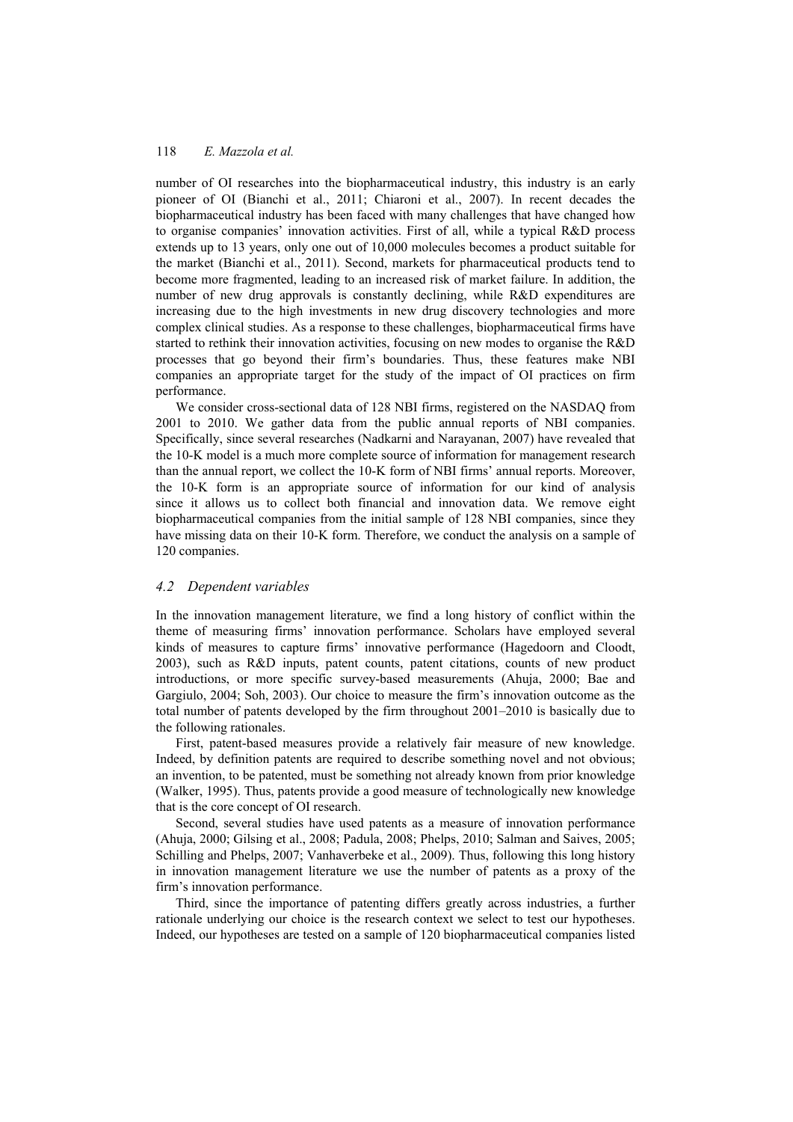number of OI researches into the biopharmaceutical industry, this industry is an early pioneer of OI (Bianchi et al., 2011; Chiaroni et al., 2007). In recent decades the biopharmaceutical industry has been faced with many challenges that have changed how to organise companies' innovation activities. First of all, while a typical R&D process extends up to 13 years, only one out of 10,000 molecules becomes a product suitable for the market (Bianchi et al., 2011). Second, markets for pharmaceutical products tend to become more fragmented, leading to an increased risk of market failure. In addition, the number of new drug approvals is constantly declining, while R&D expenditures are increasing due to the high investments in new drug discovery technologies and more complex clinical studies. As a response to these challenges, biopharmaceutical firms have started to rethink their innovation activities, focusing on new modes to organise the R&D processes that go beyond their firm's boundaries. Thus, these features make NBI companies an appropriate target for the study of the impact of OI practices on firm performance.

We consider cross-sectional data of 128 NBI firms, registered on the NASDAQ from 2001 to 2010. We gather data from the public annual reports of NBI companies. Specifically, since several researches (Nadkarni and Narayanan, 2007) have revealed that the 10-K model is a much more complete source of information for management research than the annual report, we collect the 10-K form of NBI firms' annual reports. Moreover, the 10-K form is an appropriate source of information for our kind of analysis since it allows us to collect both financial and innovation data. We remove eight biopharmaceutical companies from the initial sample of 128 NBI companies, since they have missing data on their 10-K form. Therefore, we conduct the analysis on a sample of 120 companies.

#### *4.2 Dependent variables*

In the innovation management literature, we find a long history of conflict within the theme of measuring firms' innovation performance. Scholars have employed several kinds of measures to capture firms' innovative performance (Hagedoorn and Cloodt, 2003), such as R&D inputs, patent counts, patent citations, counts of new product introductions, or more specific survey-based measurements (Ahuja, 2000; Bae and Gargiulo, 2004; Soh, 2003). Our choice to measure the firm's innovation outcome as the total number of patents developed by the firm throughout 2001–2010 is basically due to the following rationales.

First, patent-based measures provide a relatively fair measure of new knowledge. Indeed, by definition patents are required to describe something novel and not obvious; an invention, to be patented, must be something not already known from prior knowledge (Walker, 1995). Thus, patents provide a good measure of technologically new knowledge that is the core concept of OI research.

Second, several studies have used patents as a measure of innovation performance (Ahuja, 2000; Gilsing et al., 2008; Padula, 2008; Phelps, 2010; Salman and Saives, 2005; Schilling and Phelps, 2007; Vanhaverbeke et al., 2009). Thus, following this long history in innovation management literature we use the number of patents as a proxy of the firm's innovation performance.

Third, since the importance of patenting differs greatly across industries, a further rationale underlying our choice is the research context we select to test our hypotheses. Indeed, our hypotheses are tested on a sample of 120 biopharmaceutical companies listed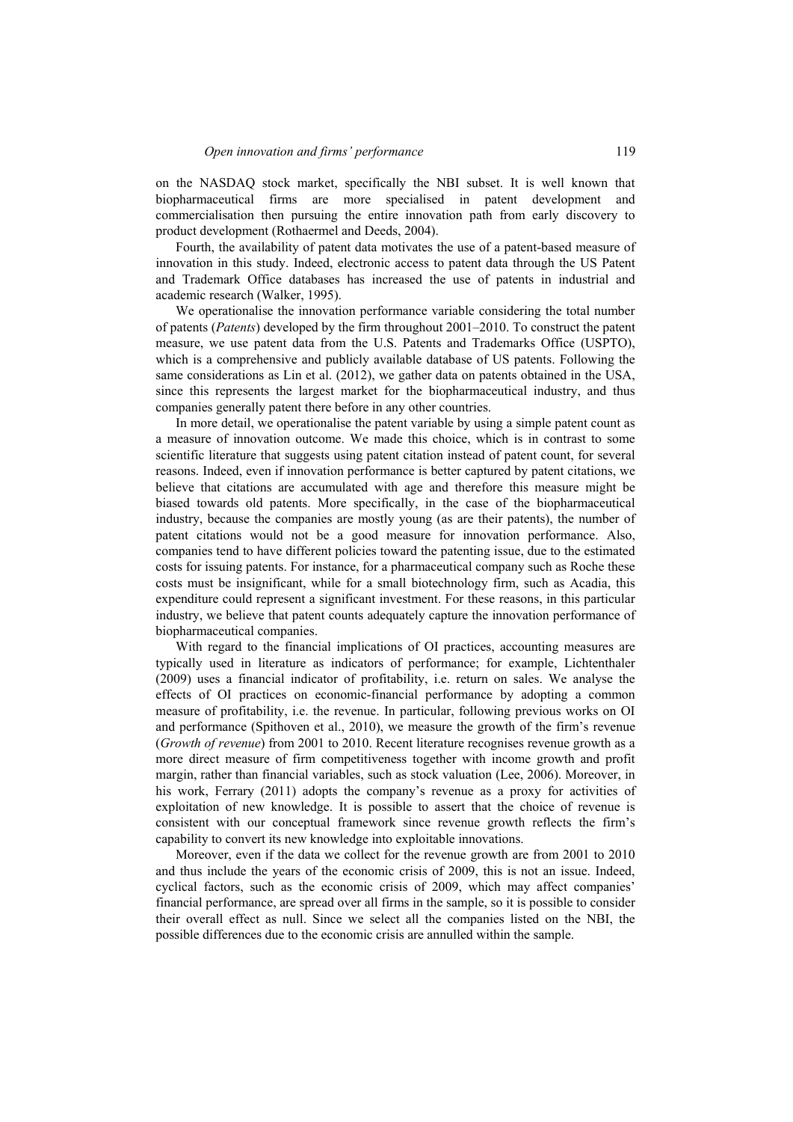on the NASDAQ stock market, specifically the NBI subset. It is well known that biopharmaceutical firms are more specialised in patent development and commercialisation then pursuing the entire innovation path from early discovery to product development (Rothaermel and Deeds, 2004).

Fourth, the availability of patent data motivates the use of a patent-based measure of innovation in this study. Indeed, electronic access to patent data through the US Patent and Trademark Office databases has increased the use of patents in industrial and academic research (Walker, 1995).

We operationalise the innovation performance variable considering the total number of patents (*Patents*) developed by the firm throughout 2001–2010. To construct the patent measure, we use patent data from the U.S. Patents and Trademarks Office (USPTO), which is a comprehensive and publicly available database of US patents. Following the same considerations as Lin et al. (2012), we gather data on patents obtained in the USA, since this represents the largest market for the biopharmaceutical industry, and thus companies generally patent there before in any other countries.

In more detail, we operationalise the patent variable by using a simple patent count as a measure of innovation outcome. We made this choice, which is in contrast to some scientific literature that suggests using patent citation instead of patent count, for several reasons. Indeed, even if innovation performance is better captured by patent citations, we believe that citations are accumulated with age and therefore this measure might be biased towards old patents. More specifically, in the case of the biopharmaceutical industry, because the companies are mostly young (as are their patents), the number of patent citations would not be a good measure for innovation performance. Also, companies tend to have different policies toward the patenting issue, due to the estimated costs for issuing patents. For instance, for a pharmaceutical company such as Roche these costs must be insignificant, while for a small biotechnology firm, such as Acadia, this expenditure could represent a significant investment. For these reasons, in this particular industry, we believe that patent counts adequately capture the innovation performance of biopharmaceutical companies.

With regard to the financial implications of OI practices, accounting measures are typically used in literature as indicators of performance; for example, Lichtenthaler (2009) uses a financial indicator of profitability, i.e. return on sales. We analyse the effects of OI practices on economic-financial performance by adopting a common measure of profitability, i.e. the revenue. In particular, following previous works on OI and performance (Spithoven et al., 2010), we measure the growth of the firm's revenue (*Growth of revenue*) from 2001 to 2010. Recent literature recognises revenue growth as a more direct measure of firm competitiveness together with income growth and profit margin, rather than financial variables, such as stock valuation (Lee, 2006). Moreover, in his work, Ferrary (2011) adopts the company's revenue as a proxy for activities of exploitation of new knowledge. It is possible to assert that the choice of revenue is consistent with our conceptual framework since revenue growth reflects the firm's capability to convert its new knowledge into exploitable innovations.

Moreover, even if the data we collect for the revenue growth are from 2001 to 2010 and thus include the years of the economic crisis of 2009, this is not an issue. Indeed, cyclical factors, such as the economic crisis of 2009, which may affect companies' financial performance, are spread over all firms in the sample, so it is possible to consider their overall effect as null. Since we select all the companies listed on the NBI, the possible differences due to the economic crisis are annulled within the sample.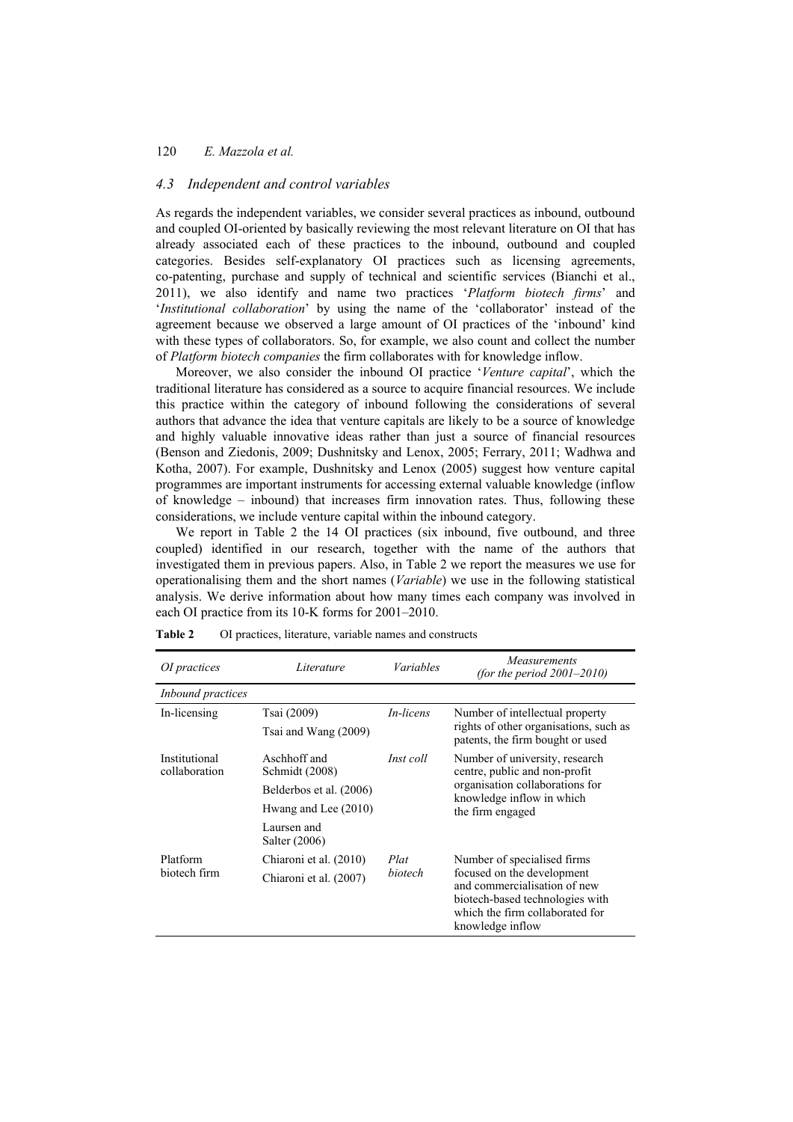#### *4.3 Independent and control variables*

As regards the independent variables, we consider several practices as inbound, outbound and coupled OI-oriented by basically reviewing the most relevant literature on OI that has already associated each of these practices to the inbound, outbound and coupled categories. Besides self-explanatory OI practices such as licensing agreements, co-patenting, purchase and supply of technical and scientific services (Bianchi et al., 2011), we also identify and name two practices '*Platform biotech firms*' and '*Institutional collaboration*' by using the name of the 'collaborator' instead of the agreement because we observed a large amount of OI practices of the 'inbound' kind with these types of collaborators. So, for example, we also count and collect the number of *Platform biotech companies* the firm collaborates with for knowledge inflow.

Moreover, we also consider the inbound OI practice '*Venture capital*', which the traditional literature has considered as a source to acquire financial resources. We include this practice within the category of inbound following the considerations of several authors that advance the idea that venture capitals are likely to be a source of knowledge and highly valuable innovative ideas rather than just a source of financial resources (Benson and Ziedonis, 2009; Dushnitsky and Lenox, 2005; Ferrary, 2011; Wadhwa and Kotha, 2007). For example, Dushnitsky and Lenox (2005) suggest how venture capital programmes are important instruments for accessing external valuable knowledge (inflow of knowledge – inbound) that increases firm innovation rates. Thus, following these considerations, we include venture capital within the inbound category.

We report in Table 2 the 14 OI practices (six inbound, five outbound, and three coupled) identified in our research, together with the name of the authors that investigated them in previous papers. Also, in Table 2 we report the measures we use for operationalising them and the short names (*Variable*) we use in the following statistical analysis. We derive information about how many times each company was involved in each OI practice from its 10-K forms for 2001–2010.

| OI practices                   | Literature                     | Variables        | <i>Measurements</i><br>(for the period $2001-2010$ )                                                                                                 |
|--------------------------------|--------------------------------|------------------|------------------------------------------------------------------------------------------------------------------------------------------------------|
| Inbound practices              |                                |                  |                                                                                                                                                      |
| In-licensing                   | Tsai (2009)                    | <i>In-licens</i> | Number of intellectual property                                                                                                                      |
|                                | Tsai and Wang (2009)           |                  | rights of other organisations, such as<br>patents, the firm bought or used                                                                           |
| Institutional<br>collaboration | Aschhoff and<br>Schmidt (2008) | Inst coll        | Number of university, research<br>centre, public and non-profit                                                                                      |
|                                | Belderbos et al. (2006)        |                  | organisation collaborations for<br>knowledge inflow in which                                                                                         |
|                                | Hwang and Lee (2010)           |                  | the firm engaged                                                                                                                                     |
|                                | Laursen and<br>Salter (2006)   |                  |                                                                                                                                                      |
| Platform                       | Chiaroni et al. (2010)         | Plat             | Number of specialised firms                                                                                                                          |
| biotech firm                   | Chiaroni et al. (2007)         | <i>hiotech</i>   | focused on the development<br>and commercialisation of new<br>biotech-based technologies with<br>which the firm collaborated for<br>knowledge inflow |

**Table 2** OI practices, literature, variable names and constructs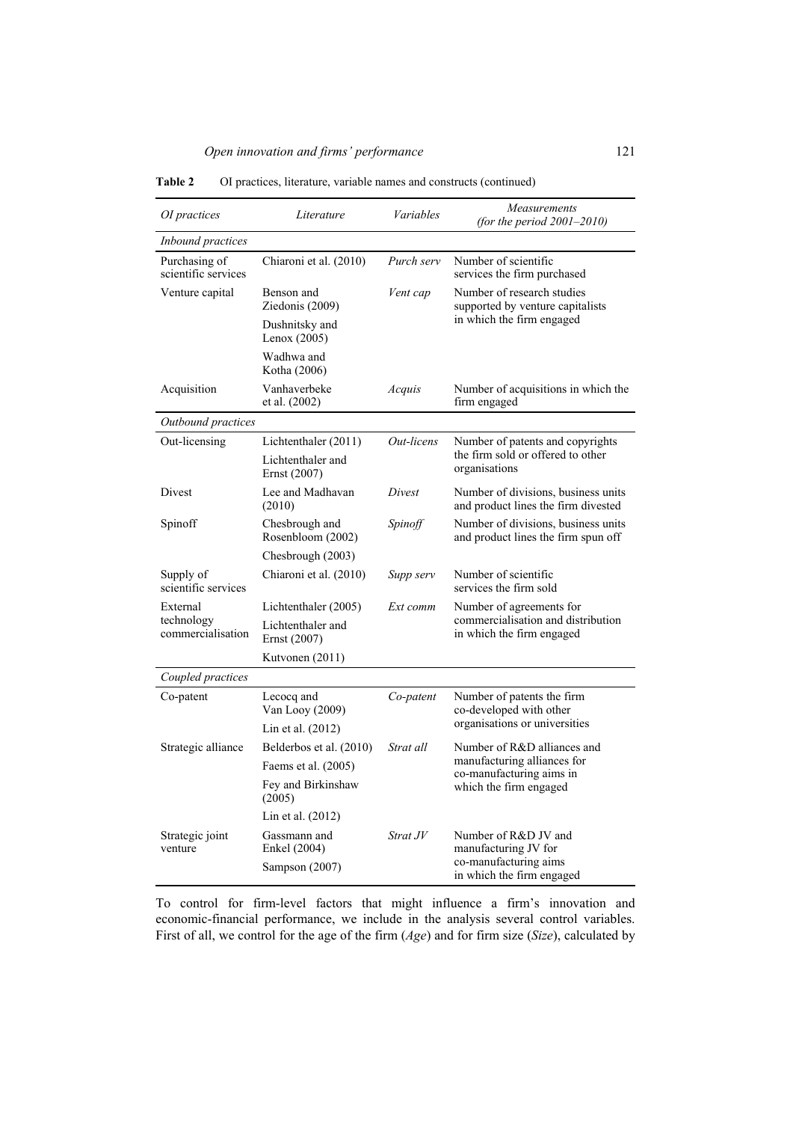| OI practices                         | Literature                          | Variables  | Measurements<br>(for the period $2001-2010$ )                              |
|--------------------------------------|-------------------------------------|------------|----------------------------------------------------------------------------|
| Inbound practices                    |                                     |            |                                                                            |
| Purchasing of<br>scientific services | Chiaroni et al. (2010)              | Purch serv | Number of scientific<br>services the firm purchased                        |
| Venture capital                      | Benson and<br>Ziedonis (2009)       | Vent cap   | Number of research studies<br>supported by venture capitalists             |
|                                      | Dushnitsky and<br>Lenox $(2005)$    |            | in which the firm engaged                                                  |
|                                      | Wadhwa and<br>Kotha (2006)          |            |                                                                            |
| Acquisition                          | Vanhaverbeke<br>et al. (2002)       | Acquis     | Number of acquisitions in which the<br>firm engaged                        |
| Outbound practices                   |                                     |            |                                                                            |
| Out-licensing                        | Lichtenthaler (2011)                | Out-licens | Number of patents and copyrights                                           |
|                                      | Lichtenthaler and<br>Ernst (2007)   |            | the firm sold or offered to other<br>organisations                         |
| Divest                               | Lee and Madhavan<br>(2010)          | Divest     | Number of divisions, business units<br>and product lines the firm divested |
| Spinoff                              | Chesbrough and<br>Rosenbloom (2002) | Spinoff    | Number of divisions, business units<br>and product lines the firm spun off |
|                                      | Chesbrough (2003)                   |            |                                                                            |
| Supply of<br>scientific services     | Chiaroni et al. (2010)              | Supp serv  | Number of scientific<br>services the firm sold                             |
| External                             | Lichtenthaler (2005)                | Ext comm   | Number of agreements for                                                   |
| technology<br>commercialisation      | Lichtenthaler and<br>Ernst (2007)   |            | commercialisation and distribution<br>in which the firm engaged            |
|                                      | Kutvonen (2011)                     |            |                                                                            |
| Coupled practices                    |                                     |            |                                                                            |
| Co-patent                            | Lecocq and<br>Van Looy (2009)       | Co-patent  | Number of patents the firm<br>co-developed with other                      |
|                                      | Lin et al. $(2012)$                 |            | organisations or universities                                              |
| Strategic alliance                   | Belderbos et al. (2010)             | Strat all  | Number of R&D alliances and                                                |
|                                      | Faems et al. (2005)                 |            | manufacturing alliances for<br>co-manufacturing aims in                    |
|                                      | Fey and Birkinshaw<br>(2005)        |            | which the firm engaged                                                     |
|                                      | Lin et al. $(2012)$                 |            |                                                                            |
| Strategic joint<br>venture           | Gassmann and<br>Enkel (2004)        | Strat JV   | Number of R&D JV and<br>manufacturing JV for                               |
|                                      | Sampson (2007)                      |            | co-manufacturing aims<br>in which the firm engaged                         |

**Table 2** OI practices, literature, variable names and constructs (continued)

To control for firm-level factors that might influence a firm's innovation and economic-financial performance, we include in the analysis several control variables. First of all, we control for the age of the firm (*Age*) and for firm size (*Size*), calculated by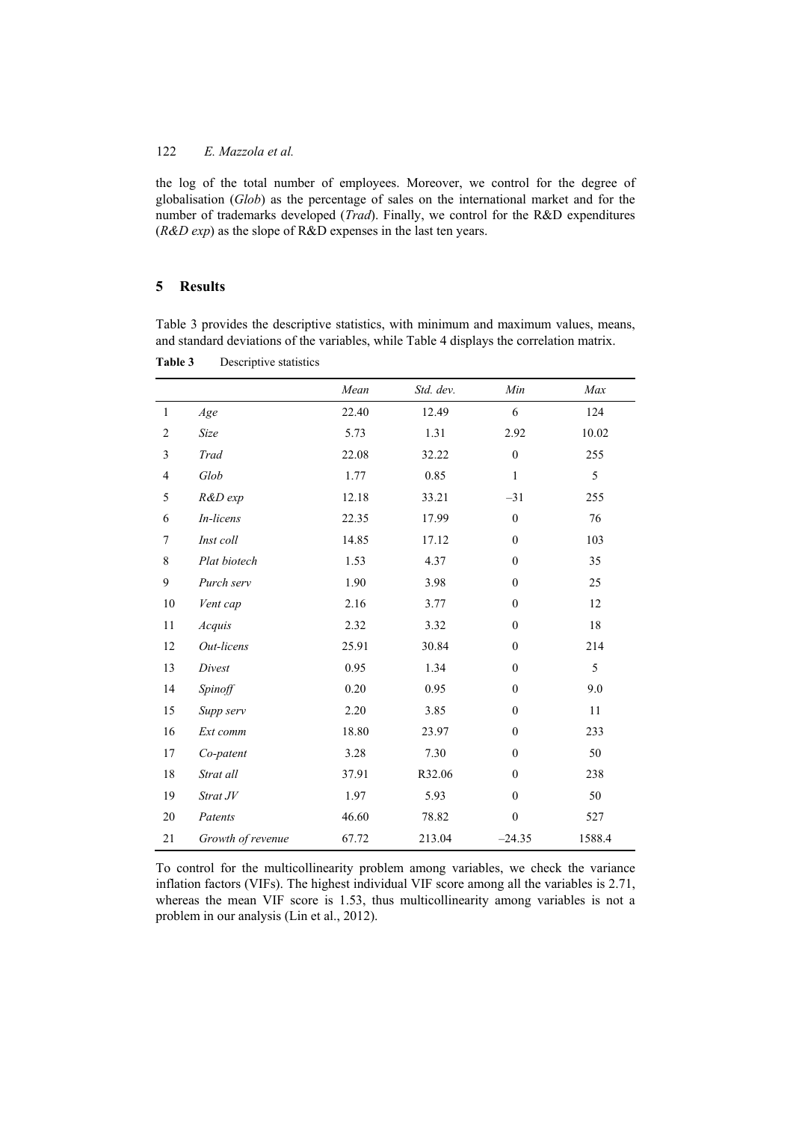the log of the total number of employees. Moreover, we control for the degree of globalisation (*Glob*) as the percentage of sales on the international market and for the number of trademarks developed (*Trad*). Finally, we control for the R&D expenditures (*R&D exp*) as the slope of R&D expenses in the last ten years.

#### **5 Results**

Table 3 provides the descriptive statistics, with minimum and maximum values, means, and standard deviations of the variables, while Table 4 displays the correlation matrix.

**Table 3** Descriptive statistics

|                |                   | Mean  | Std. dev. | Min              | Max    |
|----------------|-------------------|-------|-----------|------------------|--------|
| $\mathbf{1}$   | Age               | 22.40 | 12.49     | 6                | 124    |
| $\overline{2}$ | Size              | 5.73  | 1.31      | 2.92             | 10.02  |
| 3              | Trad              | 22.08 | 32.22     | $\mathbf{0}$     | 255    |
| $\overline{4}$ | Glob              | 1.77  | 0.85      | $\mathbf{1}$     | 5      |
| $\sqrt{5}$     | R&D exp           | 12.18 | 33.21     | $-31$            | 255    |
| 6              | In-licens         | 22.35 | 17.99     | $\boldsymbol{0}$ | 76     |
| $\tau$         | Inst coll         | 14.85 | 17.12     | $\mathbf{0}$     | 103    |
| $\,$ 8 $\,$    | Plat biotech      | 1.53  | 4.37      | $\boldsymbol{0}$ | 35     |
| 9              | Purch serv        | 1.90  | 3.98      | $\mathbf{0}$     | 25     |
| $10\,$         | Vent cap          | 2.16  | 3.77      | $\mathbf{0}$     | 12     |
| $11\,$         | Acquis            | 2.32  | 3.32      | $\mathbf{0}$     | $18\,$ |
| 12             | Out-licens        | 25.91 | 30.84     | $\mathbf{0}$     | 214    |
| 13             | Divest            | 0.95  | 1.34      | $\mathbf{0}$     | 5      |
| 14             | Spinoff           | 0.20  | 0.95      | $\boldsymbol{0}$ | 9.0    |
| 15             | Supp serv         | 2.20  | 3.85      | $\mathbf{0}$     | 11     |
| 16             | Ext comm          | 18.80 | 23.97     | $\mathbf{0}$     | 233    |
| $17$           | Co-patent         | 3.28  | 7.30      | $\boldsymbol{0}$ | 50     |
| 18             | Strat all         | 37.91 | R32.06    | $\mathbf{0}$     | 238    |
| 19             | Strat JV          | 1.97  | 5.93      | $\mathbf{0}$     | 50     |
| 20             | Patents           | 46.60 | 78.82     | $\boldsymbol{0}$ | 527    |
| 21             | Growth of revenue | 67.72 | 213.04    | $-24.35$         | 1588.4 |

To control for the multicollinearity problem among variables, we check the variance inflation factors (VIFs). The highest individual VIF score among all the variables is 2.71, whereas the mean VIF score is 1.53, thus multicollinearity among variables is not a problem in our analysis (Lin et al., 2012).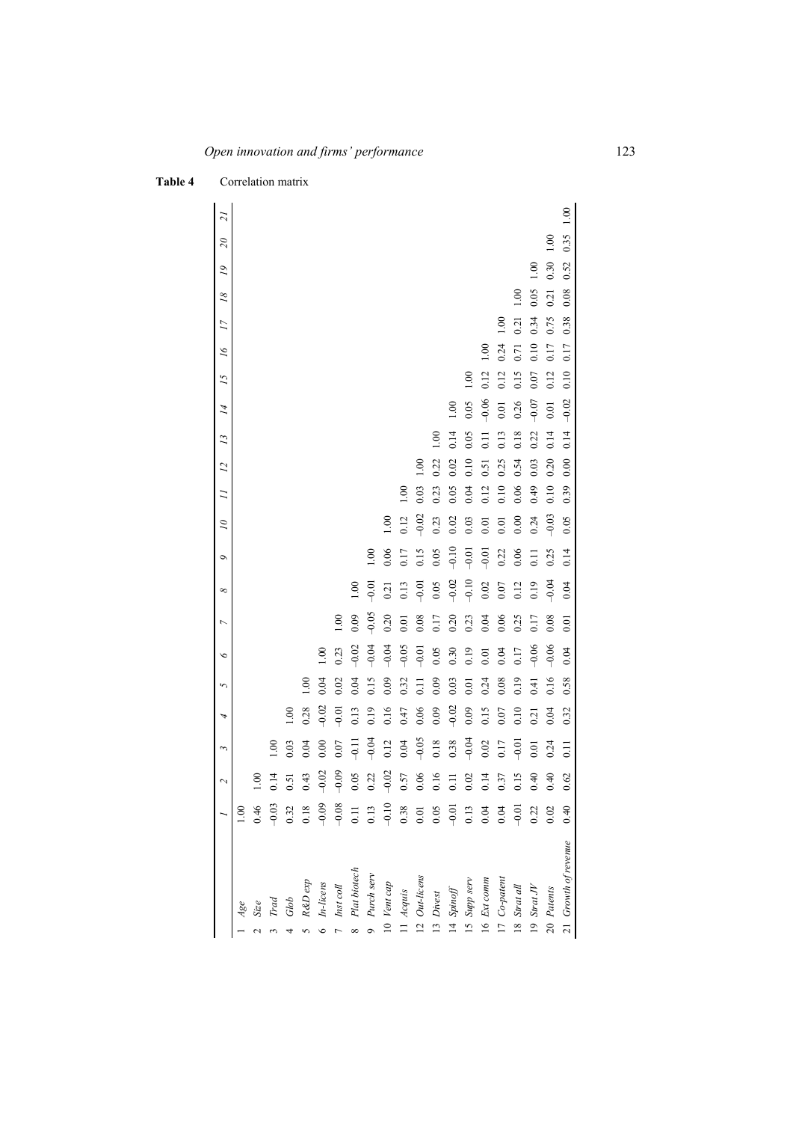|                                                                              |                                                                              | $\overline{\mathcal{C}}$ | 3                  | 4        | 5                | $\breve{\phantom{a}}$ | $\overline{ }$ | $\infty$ | ٩             | $\overline{\mathcal{L}}$ | $\overline{a}$ | 12    | 13    | $\overline{14}$ | 15            | $\tilde{\mathcal{L}}$ | $\overline{17}$ | 18   | $\tilde{\mathcal{L}}$ | $\mathcal{S}$ | 21   |
|------------------------------------------------------------------------------|------------------------------------------------------------------------------|--------------------------|--------------------|----------|------------------|-----------------------|----------------|----------|---------------|--------------------------|----------------|-------|-------|-----------------|---------------|-----------------------|-----------------|------|-----------------------|---------------|------|
| $Age$                                                                        | 1.00                                                                         |                          |                    |          |                  |                       |                |          |               |                          |                |       |       |                 |               |                       |                 |      |                       |               |      |
| $Size$                                                                       | 0.46                                                                         | 1.00                     |                    |          |                  |                       |                |          |               |                          |                |       |       |                 |               |                       |                 |      |                       |               |      |
|                                                                              |                                                                              | 0.14                     | 00.1               |          |                  |                       |                |          |               |                          |                |       |       |                 |               |                       |                 |      |                       |               |      |
|                                                                              |                                                                              | 0.51                     | 0.03               | 00(1, 0) |                  |                       |                |          |               |                          |                |       |       |                 |               |                       |                 |      |                       |               |      |
|                                                                              | $-0.32$<br>0.32<br>0.18                                                      | 0.43                     | 0.04               | 0.28     | $\frac{0}{1}$    |                       |                |          |               |                          |                |       |       |                 |               |                       |                 |      |                       |               |      |
| Trad<br>Glob<br>R&D exp<br>R&D exp<br>In-licens<br>Inst coll<br>Plat biotech |                                                                              | $-0.02$                  | 0.00               | $-0.02$  | 0.04             | $\frac{0}{2}$         |                |          |               |                          |                |       |       |                 |               |                       |                 |      |                       |               |      |
|                                                                              |                                                                              | $-0.09$                  | 0.07               | $-0.01$  | 0.02             | 0.23                  | 1.00           |          |               |                          |                |       |       |                 |               |                       |                 |      |                       |               |      |
|                                                                              |                                                                              | 0.05                     | $-0.11$            | 0.13     | 0.04             | $-0.02$               | 0.09           | 1.00     |               |                          |                |       |       |                 |               |                       |                 |      |                       |               |      |
|                                                                              |                                                                              | 0.22                     | $-0.04$            | 0.19     | 0.15             | $-0.04$               | $-0.05$        | $-0.01$  | $\frac{0}{1}$ |                          |                |       |       |                 |               |                       |                 |      |                       |               |      |
| 10 Vent cap                                                                  | $9.09$<br>$9.08$<br>$9.11$<br>$0.13$<br>$0.03$<br>$0.05$<br>$0.05$<br>$0.05$ | $-0.02$                  | 0.12               | 0.16     | 0.09             | $-0.04$               | 0.20           | 0.21     | 0.06          | $\frac{0}{1}$            |                |       |       |                 |               |                       |                 |      |                       |               |      |
| 11 Acquis                                                                    |                                                                              | 0.57                     | 0.04               | 0.47     | 0.32             | $-0.05$               | 0.01           | 0.13     | 0.17          | 0.12                     | 00(1)          |       |       |                 |               |                       |                 |      |                       |               |      |
| 12 Out-licens                                                                |                                                                              | 0.06                     | $-0.05$            | 0.06     | $\overline{0}$ . | $-0.01$               | 0.08           | $-0.01$  | 0.15          | $-0.02$                  | 0.03           | 00(1) |       |                 |               |                       |                 |      |                       |               |      |
| 13 Divest                                                                    |                                                                              | 0.16                     | 0.18               | 0.09     | 0.09             | 0.05                  | 0.17           | 0.05     | 0.05          | 0.23                     | 0.23           | 0.22  | 00.1  |                 |               |                       |                 |      |                       |               |      |
| $14\$                                                                        |                                                                              | 0.11                     | 0.38               | $-0.02$  | 0.03             | 0.30                  | 0.20           | $-0.02$  | $-0.10$       | 0.02                     | 0.05           | 0.02  | 0.14  | $\overline{0}$  |               |                       |                 |      |                       |               |      |
| 15 Supp serv                                                                 |                                                                              | 0.02                     | $-0.04$            | 0.09     | 0.01             | 0.19                  | 0.23           | $-0.10$  | $-0.01$       | 0.03                     | 0.04           | 0.10  | 0.05  | 0.05            | $\frac{0}{1}$ |                       |                 |      |                       |               |      |
| 16 Ext comm                                                                  |                                                                              | 0.14                     | 0.02               | 0.15     | 0.24             | 0.01                  | 0.04           | 0.02     | $-0.01$       | 0.01                     | 0.12           | 0.51  | $\Xi$ | $-0.06$         | 0.12          | $\frac{00}{100}$      |                 |      |                       |               |      |
| 17 Co-patent                                                                 | $0.13$<br>$0.04$                                                             | 0.37                     | 0.17               | 0.07     | 0.08             | 0.04                  | 0.06           | 0.07     | 0.22          | 0.01                     | 0.10           | 0.25  | 0.13  | 0.01            | 0.12          | 0.24                  | $\frac{0}{1}$   |      |                       |               |      |
| 18 Strat all                                                                 |                                                                              | 0.15                     | $-0.01$            | 0.10     | 0.19             | 0.17                  | 0.25           | 0.12     | 0.06          | 0.00                     | 0.06           | 0.54  | 0.18  | 0.26            | 0.15          | 0.71                  | 0.21            | 00.1 |                       |               |      |
| 19 Strat $JV$                                                                | $-0.21$<br>$-0.22$<br>0.02                                                   | 0.40                     | 0.01               | 0.21     | 0.41             | $-0.06$               | 0.17           | 0.19     | 0.11          | 0.24                     | 64.0           | 0.03  | 0.22  | $-0.07$         | 0.07          | 0.10                  | 0.34            | 0.05 | $\frac{00}{1}$        |               |      |
| 20 Patents                                                                   |                                                                              | 0.40                     | 0.24               | 0.04     | 0.16             | $-0.06$               | 0.08           | $-0.04$  | 0.25          | $-0.03$                  | 0.10           | 0.20  | 0.14  | 0.01            | 0.12          | 0.17                  | 0.75            | 0.21 | 0.30                  | 00.1          |      |
| 21 Growth of revenue                                                         | 0.40                                                                         | 0.62                     | $\overline{0}$ .11 | 0.32     | 0.58             | 0.04                  | 0.01           | 0.04     | 0.14          | 0.05                     | 0.39           | 0.00  | 0.14  | $-0.02$         | 0.10          | 0.17                  | 0.38            | 0.08 | 0.52                  | 0.35          | 1.00 |

# **Table 4** Correlation matrix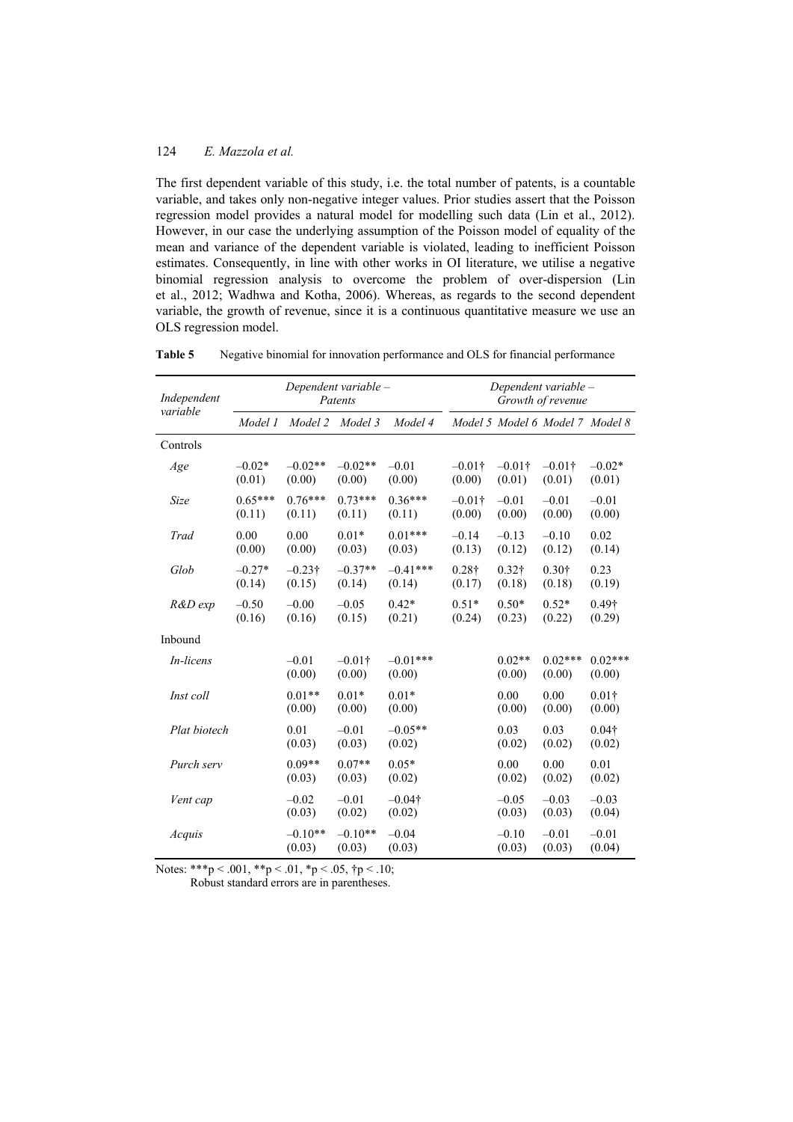The first dependent variable of this study, i.e. the total number of patents, is a countable variable, and takes only non-negative integer values. Prior studies assert that the Poisson regression model provides a natural model for modelling such data (Lin et al., 2012). However, in our case the underlying assumption of the Poisson model of equality of the mean and variance of the dependent variable is violated, leading to inefficient Poisson estimates. Consequently, in line with other works in OI literature, we utilise a negative binomial regression analysis to overcome the problem of over-dispersion (Lin et al., 2012; Wadhwa and Kotha, 2006). Whereas, as regards to the second dependent variable, the growth of revenue, since it is a continuous quantitative measure we use an OLS regression model.

**Table 5** Negative binomial for innovation performance and OLS for financial performance

| Independent      |                     |                          | Dependent variable -<br>Patents |                      |                         |                         | Dependent variable -<br>Growth of revenue |                         |
|------------------|---------------------|--------------------------|---------------------------------|----------------------|-------------------------|-------------------------|-------------------------------------------|-------------------------|
| variable         | Model 1             | Model 2                  | Model 3                         | Model 4              |                         |                         | Model 5 Model 6 Model 7 Model 8           |                         |
| Controls         |                     |                          |                                 |                      |                         |                         |                                           |                         |
| Age              | $-0.02*$<br>(0.01)  | $-0.02**$<br>(0.00)      | $-0.02**$<br>(0.00)             | $-0.01$<br>(0.00)    | $-0.01$ †<br>(0.00)     | $-0.01$ †<br>(0.01)     | $-0.01\dagger$<br>(0.01)                  | $-0.02*$<br>(0.01)      |
| Size             | $0.65***$<br>(0.11) | $0.76***$<br>(0.11)      | $0.73***$<br>(0.11)             | $0.36***$<br>(0.11)  | $-0.01$ †<br>(0.00)     | $-0.01$<br>(0.00)       | $-0.01$<br>(0.00)                         | $-0.01$<br>(0.00)       |
| Trad             | 0.00<br>(0.00)      | 0.00<br>(0.00)           | $0.01*$<br>(0.03)               | $0.01***$<br>(0.03)  | $-0.14$<br>(0.13)       | $-0.13$<br>(0.12)       | $-0.10$<br>(0.12)                         | 0.02<br>(0.14)          |
| Glob             | $-0.27*$<br>(0.14)  | $-0.23\dagger$<br>(0.15) | $-0.37**$<br>(0.14)             | $-0.41***$<br>(0.14) | $0.28\dagger$<br>(0.17) | $0.32\dagger$<br>(0.18) | $0.30\dagger$<br>(0.18)                   | 0.23<br>(0.19)          |
| R&D exp          | $-0.50$<br>(0.16)   | $-0.00$<br>(0.16)        | $-0.05$<br>(0.15)               | $0.42*$<br>(0.21)    | $0.51*$<br>(0.24)       | $0.50*$<br>(0.23)       | $0.52*$<br>(0.22)                         | 0.49†<br>(0.29)         |
| Inbound          |                     |                          |                                 |                      |                         |                         |                                           |                         |
| <i>In-licens</i> |                     | $-0.01$<br>(0.00)        | $-0.01\dagger$<br>(0.00)        | $-0.01***$<br>(0.00) |                         | $0.02**$<br>(0.00)      | $0.02***$<br>(0.00)                       | $0.02***$<br>(0.00)     |
| Inst coll        |                     | $0.01**$<br>(0.00)       | $0.01*$<br>(0.00)               | $0.01*$<br>(0.00)    |                         | 0.00<br>(0.00)          | 0.00<br>(0.00)                            | $0.01\dagger$<br>(0.00) |
| Plat biotech     |                     | 0.01<br>(0.03)           | $-0.01$<br>(0.03)               | $-0.05**$<br>(0.02)  |                         | 0.03<br>(0.02)          | 0.03<br>(0.02)                            | $0.04\dagger$<br>(0.02) |
| Purch serv       |                     | $0.09**$<br>(0.03)       | $0.07**$<br>(0.03)              | $0.05*$<br>(0.02)    |                         | 0.00<br>(0.02)          | 0.00<br>(0.02)                            | 0.01<br>(0.02)          |
| Vent cap         |                     | $-0.02$<br>(0.03)        | $-0.01$<br>(0.02)               | $-0.04$ †<br>(0.02)  |                         | $-0.05$<br>(0.03)       | $-0.03$<br>(0.03)                         | $-0.03$<br>(0.04)       |
| Acquis           |                     | $-0.10**$<br>(0.03)      | $-0.10**$<br>(0.03)             | $-0.04$<br>(0.03)    |                         | $-0.10$<br>(0.03)       | $-0.01$<br>(0.03)                         | $-0.01$<br>(0.04)       |

Notes: \*\*\*p < .001, \*\*p < .01, \*p < .05,  $\uparrow$ p < .10;

Robust standard errors are in parentheses.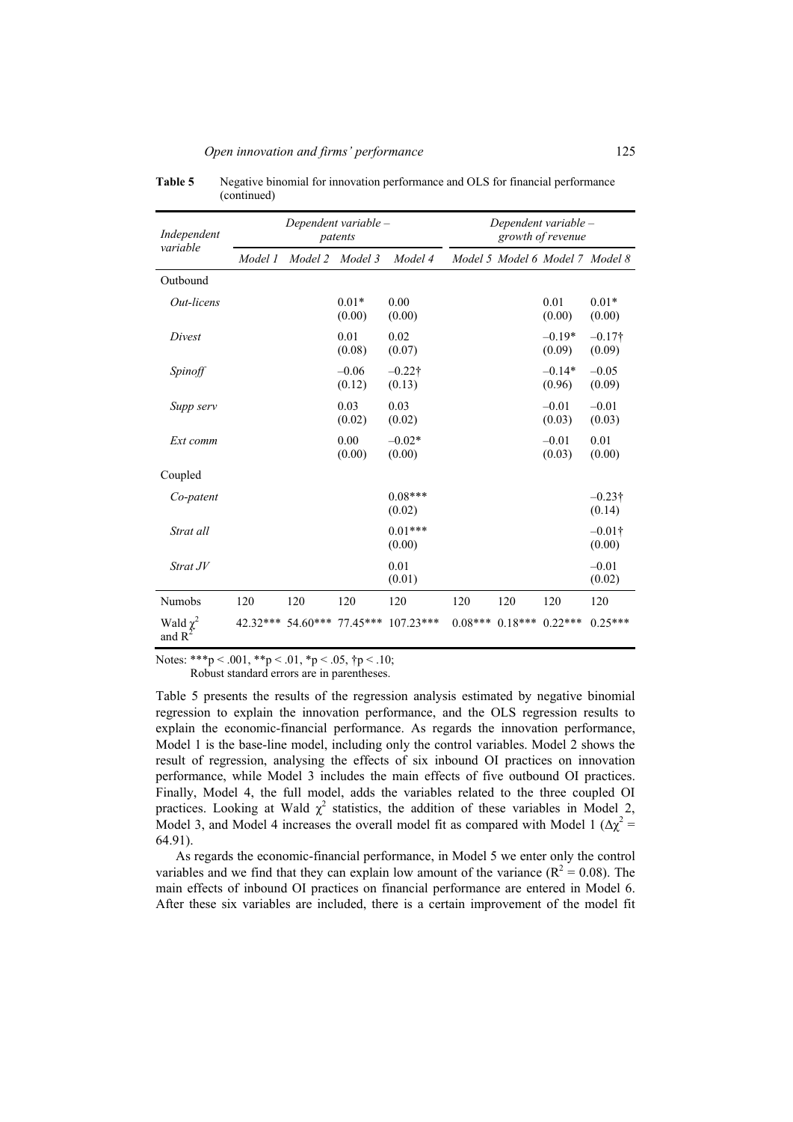| Independent<br>variable             |            |         | Dependent variable -<br>patents |                             | Dependent variable - |           | growth of revenue               |                          |
|-------------------------------------|------------|---------|---------------------------------|-----------------------------|----------------------|-----------|---------------------------------|--------------------------|
|                                     | Model 1    | Model 2 | Model 3                         | Model 4                     |                      |           | Model 5 Model 6 Model 7 Model 8 |                          |
| Outbound                            |            |         |                                 |                             |                      |           |                                 |                          |
| Out-licens                          |            |         | $0.01*$<br>(0.00)               | 0.00<br>(0.00)              |                      |           | 0.01<br>(0.00)                  | $0.01*$<br>(0.00)        |
| Divest                              |            |         | 0.01<br>(0.08)                  | 0.02<br>(0.07)              |                      |           | $-0.19*$<br>(0.09)              | $-0.17\dagger$<br>(0.09) |
| Spinoff                             |            |         | $-0.06$<br>(0.12)               | $-0.22$ †<br>(0.13)         |                      |           | $-0.14*$<br>(0.96)              | $-0.05$<br>(0.09)        |
| Supp serv                           |            |         | 0.03<br>(0.02)                  | 0.03<br>(0.02)              |                      |           | $-0.01$<br>(0.03)               | $-0.01$<br>(0.03)        |
| Ext comm                            |            |         | 0.00<br>(0.00)                  | $-0.02*$<br>(0.00)          |                      |           | $-0.01$<br>(0.03)               | 0.01<br>(0.00)           |
| Coupled                             |            |         |                                 |                             |                      |           |                                 |                          |
| Co-patent                           |            |         |                                 | $0.08***$<br>(0.02)         |                      |           |                                 | $-0.23\dagger$<br>(0.14) |
| Strat all                           |            |         |                                 | $0.01***$<br>(0.00)         |                      |           |                                 | $-0.01\dagger$<br>(0.00) |
| Strat JV                            |            |         |                                 | 0.01<br>(0.01)              |                      |           |                                 | $-0.01$<br>(0.02)        |
| <b>Numobs</b>                       | 120        | 120     | 120                             | 120                         | 120                  | 120       | 120                             | 120                      |
| Wald $\chi^2$<br>and R <sup>2</sup> | $42.32***$ |         |                                 | 54.60*** 77.45*** 107.23*** | $0.08***$            | $0.18***$ | $0.22***$                       | $0.25***$                |

**Table 5** Negative binomial for innovation performance and OLS for financial performance (continued)

Notes: \*\*\*p < .001, \*\*p < .01, \*p < .05,  $\uparrow p$  < .10;

Robust standard errors are in parentheses.

Table 5 presents the results of the regression analysis estimated by negative binomial regression to explain the innovation performance, and the OLS regression results to explain the economic-financial performance. As regards the innovation performance, Model 1 is the base-line model, including only the control variables. Model 2 shows the result of regression, analysing the effects of six inbound OI practices on innovation performance, while Model 3 includes the main effects of five outbound OI practices. Finally, Model 4, the full model, adds the variables related to the three coupled OI practices. Looking at Wald  $\chi^2$  statistics, the addition of these variables in Model 2, Model 3, and Model 4 increases the overall model fit as compared with Model 1 ( $\Delta \chi^2$  = 64.91).

As regards the economic-financial performance, in Model 5 we enter only the control variables and we find that they can explain low amount of the variance ( $R^2 = 0.08$ ). The main effects of inbound OI practices on financial performance are entered in Model 6. After these six variables are included, there is a certain improvement of the model fit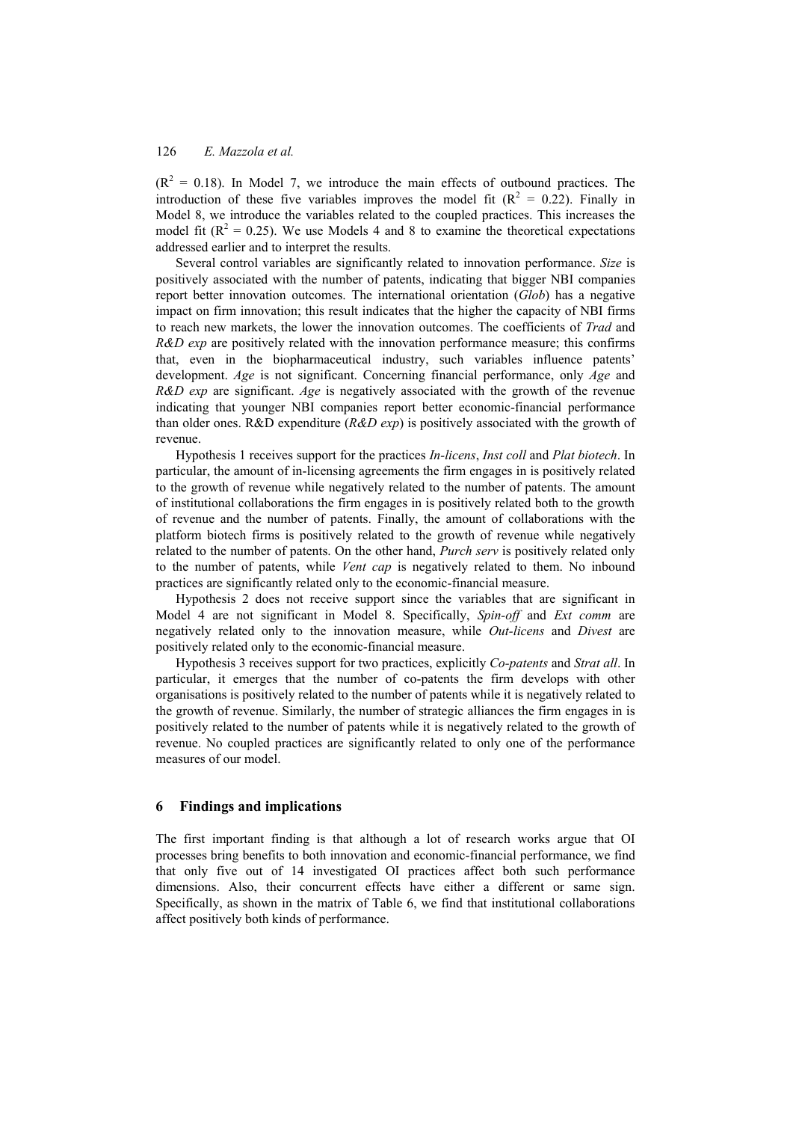$(R<sup>2</sup> = 0.18)$ . In Model 7, we introduce the main effects of outbound practices. The introduction of these five variables improves the model fit  $(R^2 = 0.22)$ . Finally in Model 8, we introduce the variables related to the coupled practices. This increases the model fit ( $R^2 = 0.25$ ). We use Models 4 and 8 to examine the theoretical expectations addressed earlier and to interpret the results.

Several control variables are significantly related to innovation performance. *Size* is positively associated with the number of patents, indicating that bigger NBI companies report better innovation outcomes. The international orientation (*Glob*) has a negative impact on firm innovation; this result indicates that the higher the capacity of NBI firms to reach new markets, the lower the innovation outcomes. The coefficients of *Trad* and *R&D exp* are positively related with the innovation performance measure; this confirms that, even in the biopharmaceutical industry, such variables influence patents' development. *Age* is not significant. Concerning financial performance, only *Age* and *R&D exp* are significant. *Age* is negatively associated with the growth of the revenue indicating that younger NBI companies report better economic-financial performance than older ones. R&D expenditure (*R&D exp*) is positively associated with the growth of revenue.

Hypothesis 1 receives support for the practices *In-licens*, *Inst coll* and *Plat biotech*. In particular, the amount of in-licensing agreements the firm engages in is positively related to the growth of revenue while negatively related to the number of patents. The amount of institutional collaborations the firm engages in is positively related both to the growth of revenue and the number of patents. Finally, the amount of collaborations with the platform biotech firms is positively related to the growth of revenue while negatively related to the number of patents. On the other hand, *Purch serv* is positively related only to the number of patents, while *Vent cap* is negatively related to them. No inbound practices are significantly related only to the economic-financial measure.

Hypothesis 2 does not receive support since the variables that are significant in Model 4 are not significant in Model 8. Specifically, *Spin-off* and *Ext comm* are negatively related only to the innovation measure, while *Out-licens* and *Divest* are positively related only to the economic-financial measure.

Hypothesis 3 receives support for two practices, explicitly *Co-patents* and *Strat all*. In particular, it emerges that the number of co-patents the firm develops with other organisations is positively related to the number of patents while it is negatively related to the growth of revenue. Similarly, the number of strategic alliances the firm engages in is positively related to the number of patents while it is negatively related to the growth of revenue. No coupled practices are significantly related to only one of the performance measures of our model.

#### **6 Findings and implications**

The first important finding is that although a lot of research works argue that OI processes bring benefits to both innovation and economic-financial performance, we find that only five out of 14 investigated OI practices affect both such performance dimensions. Also, their concurrent effects have either a different or same sign. Specifically, as shown in the matrix of Table 6, we find that institutional collaborations affect positively both kinds of performance.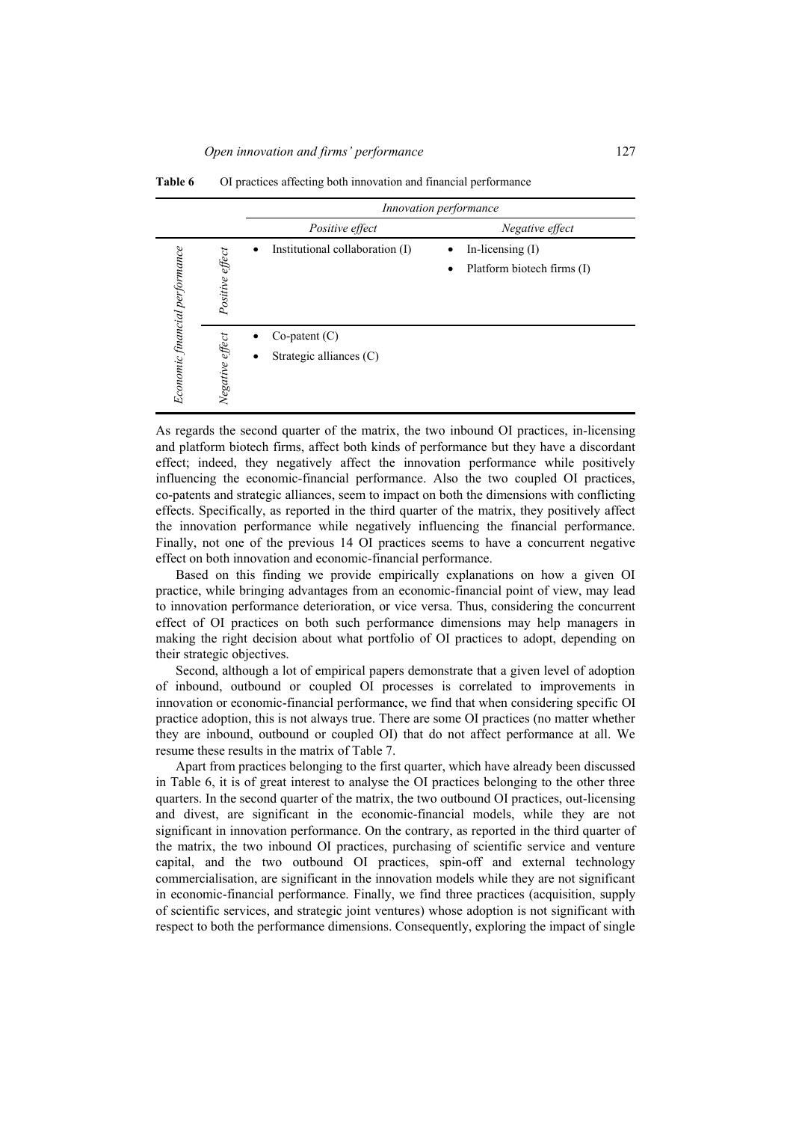|                                                   |                                            | Innovation performance          |
|---------------------------------------------------|--------------------------------------------|---------------------------------|
|                                                   | Positive effect                            | Negative effect                 |
|                                                   | Institutional collaboration (I)            | In-licensing $(I)$              |
| Economic financial performance<br>Positive effect |                                            | Platform biotech firms (I)<br>٠ |
|                                                   | $Co$ -patent $(C)$                         |                                 |
|                                                   | Negative effect<br>Strategic alliances (C) |                                 |

**Table 6** OI practices affecting both innovation and financial performance

As regards the second quarter of the matrix, the two inbound OI practices, in-licensing and platform biotech firms, affect both kinds of performance but they have a discordant effect; indeed, they negatively affect the innovation performance while positively influencing the economic-financial performance. Also the two coupled OI practices, co-patents and strategic alliances, seem to impact on both the dimensions with conflicting effects. Specifically, as reported in the third quarter of the matrix, they positively affect the innovation performance while negatively influencing the financial performance. Finally, not one of the previous 14 OI practices seems to have a concurrent negative effect on both innovation and economic-financial performance.

Based on this finding we provide empirically explanations on how a given OI practice, while bringing advantages from an economic-financial point of view, may lead to innovation performance deterioration, or vice versa. Thus, considering the concurrent effect of OI practices on both such performance dimensions may help managers in making the right decision about what portfolio of OI practices to adopt, depending on their strategic objectives.

Second, although a lot of empirical papers demonstrate that a given level of adoption of inbound, outbound or coupled OI processes is correlated to improvements in innovation or economic-financial performance, we find that when considering specific OI practice adoption, this is not always true. There are some OI practices (no matter whether they are inbound, outbound or coupled OI) that do not affect performance at all. We resume these results in the matrix of Table 7.

Apart from practices belonging to the first quarter, which have already been discussed in Table 6, it is of great interest to analyse the OI practices belonging to the other three quarters. In the second quarter of the matrix, the two outbound OI practices, out-licensing and divest, are significant in the economic-financial models, while they are not significant in innovation performance. On the contrary, as reported in the third quarter of the matrix, the two inbound OI practices, purchasing of scientific service and venture capital, and the two outbound OI practices, spin-off and external technology commercialisation, are significant in the innovation models while they are not significant in economic-financial performance. Finally, we find three practices (acquisition, supply of scientific services, and strategic joint ventures) whose adoption is not significant with respect to both the performance dimensions. Consequently, exploring the impact of single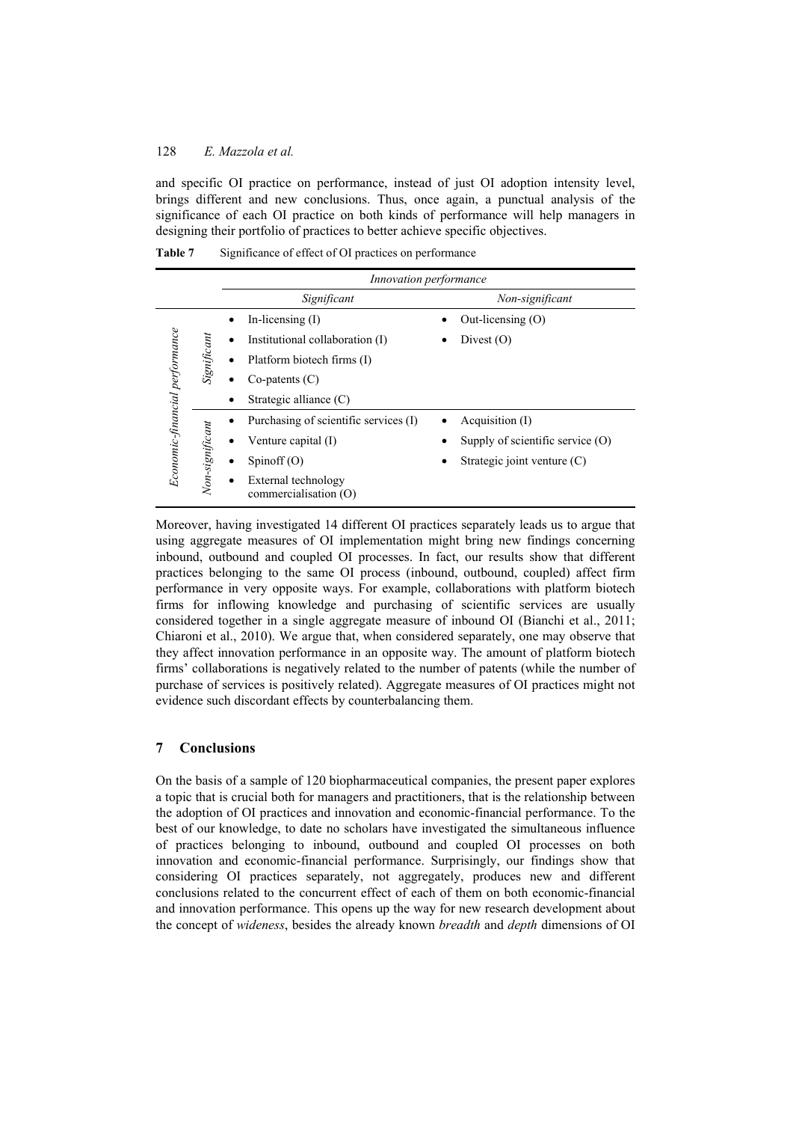and specific OI practice on performance, instead of just OI adoption intensity level, brings different and new conclusions. Thus, once again, a punctual analysis of the significance of each OI practice on both kinds of performance will help managers in designing their portfolio of practices to better achieve specific objectives.

**Table 7** Significance of effect of OI practices on performance

|                                |                 |   | <i>Innovation performance</i>                |                                    |
|--------------------------------|-----------------|---|----------------------------------------------|------------------------------------|
|                                |                 |   | Significant                                  | Non-significant                    |
|                                |                 |   | In-licensing $(I)$                           | Out-licensing $(0)$                |
|                                |                 | ٠ | Institutional collaboration (I)              | Divest $(O)$                       |
|                                | Significant     |   | Platform biotech firms (I)                   |                                    |
|                                |                 |   | $Co$ -patents $(C)$                          |                                    |
|                                |                 |   | Strategic alliance $(C)$                     |                                    |
| Economic-financial performance |                 |   | Purchasing of scientific services (I)        | Acquisition (I)                    |
|                                |                 |   | Venture capital (I)                          | Supply of scientific service $(O)$ |
|                                |                 |   | Spinoff $(O)$                                | Strategic joint venture $(C)$      |
|                                | Non-significant |   | External technology<br>commercialisation (O) |                                    |

Moreover, having investigated 14 different OI practices separately leads us to argue that using aggregate measures of OI implementation might bring new findings concerning inbound, outbound and coupled OI processes. In fact, our results show that different practices belonging to the same OI process (inbound, outbound, coupled) affect firm performance in very opposite ways. For example, collaborations with platform biotech firms for inflowing knowledge and purchasing of scientific services are usually considered together in a single aggregate measure of inbound OI (Bianchi et al., 2011; Chiaroni et al., 2010). We argue that, when considered separately, one may observe that they affect innovation performance in an opposite way. The amount of platform biotech firms' collaborations is negatively related to the number of patents (while the number of purchase of services is positively related). Aggregate measures of OI practices might not evidence such discordant effects by counterbalancing them.

## **7 Conclusions**

On the basis of a sample of 120 biopharmaceutical companies, the present paper explores a topic that is crucial both for managers and practitioners, that is the relationship between the adoption of OI practices and innovation and economic-financial performance. To the best of our knowledge, to date no scholars have investigated the simultaneous influence of practices belonging to inbound, outbound and coupled OI processes on both innovation and economic-financial performance. Surprisingly, our findings show that considering OI practices separately, not aggregately, produces new and different conclusions related to the concurrent effect of each of them on both economic-financial and innovation performance. This opens up the way for new research development about the concept of *wideness*, besides the already known *breadth* and *depth* dimensions of OI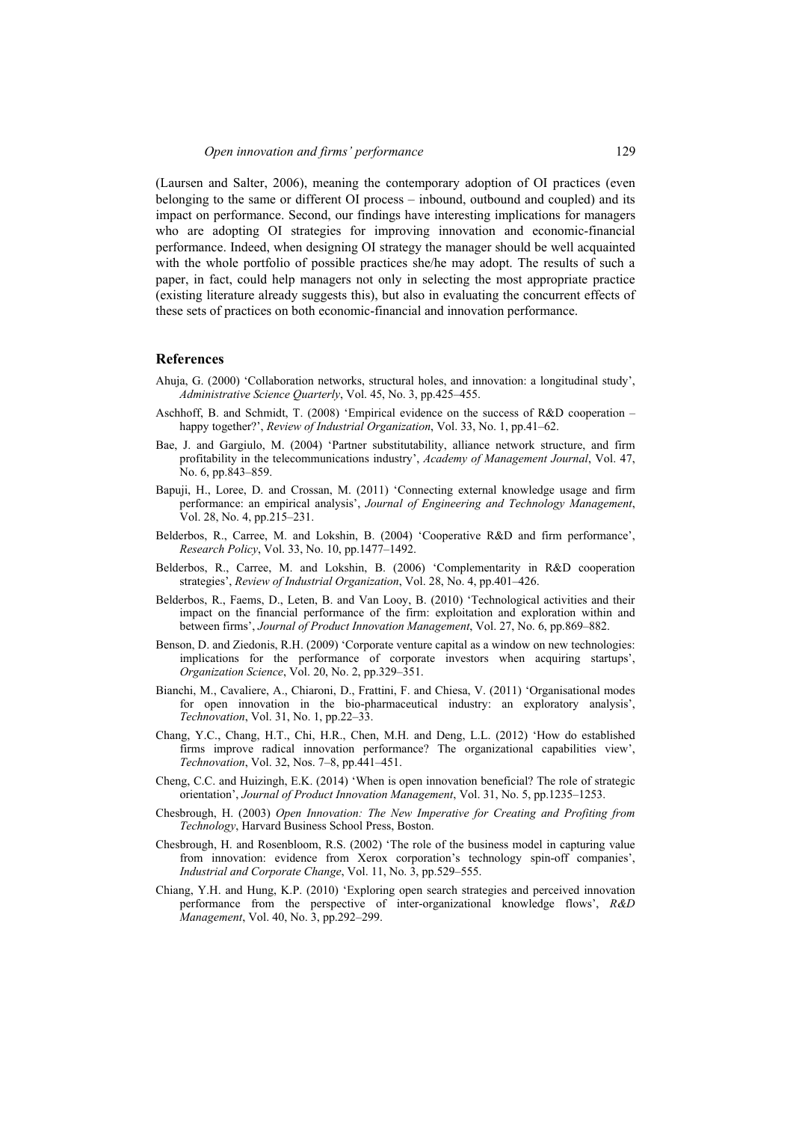(Laursen and Salter, 2006), meaning the contemporary adoption of OI practices (even belonging to the same or different OI process – inbound, outbound and coupled) and its impact on performance. Second, our findings have interesting implications for managers who are adopting OI strategies for improving innovation and economic-financial performance. Indeed, when designing OI strategy the manager should be well acquainted with the whole portfolio of possible practices she/he may adopt. The results of such a paper, in fact, could help managers not only in selecting the most appropriate practice (existing literature already suggests this), but also in evaluating the concurrent effects of these sets of practices on both economic-financial and innovation performance.

### **References**

- Ahuja, G. (2000) 'Collaboration networks, structural holes, and innovation: a longitudinal study', *Administrative Science Quarterly*, Vol. 45, No. 3, pp.425–455.
- Aschhoff, B. and Schmidt, T. (2008) 'Empirical evidence on the success of R&D cooperation happy together?', *Review of Industrial Organization*, Vol. 33, No. 1, pp.41–62.
- Bae, J. and Gargiulo, M. (2004) 'Partner substitutability, alliance network structure, and firm profitability in the telecommunications industry', *Academy of Management Journal*, Vol. 47, No. 6, pp.843–859.
- Bapuji, H., Loree, D. and Crossan, M. (2011) 'Connecting external knowledge usage and firm performance: an empirical analysis', *Journal of Engineering and Technology Management*, Vol. 28, No. 4, pp.215–231.
- Belderbos, R., Carree, M. and Lokshin, B. (2004) 'Cooperative R&D and firm performance', *Research Policy*, Vol. 33, No. 10, pp.1477–1492.
- Belderbos, R., Carree, M. and Lokshin, B. (2006) 'Complementarity in R&D cooperation strategies', *Review of Industrial Organization*, Vol. 28, No. 4, pp.401–426.
- Belderbos, R., Faems, D., Leten, B. and Van Looy, B. (2010) 'Technological activities and their impact on the financial performance of the firm: exploitation and exploration within and between firms', *Journal of Product Innovation Management*, Vol. 27, No. 6, pp.869–882.
- Benson, D. and Ziedonis, R.H. (2009) 'Corporate venture capital as a window on new technologies: implications for the performance of corporate investors when acquiring startups', *Organization Science*, Vol. 20, No. 2, pp.329–351.
- Bianchi, M., Cavaliere, A., Chiaroni, D., Frattini, F. and Chiesa, V. (2011) 'Organisational modes for open innovation in the bio-pharmaceutical industry: an exploratory analysis', *Technovation*, Vol. 31, No. 1, pp.22–33.
- Chang, Y.C., Chang, H.T., Chi, H.R., Chen, M.H. and Deng, L.L. (2012) 'How do established firms improve radical innovation performance? The organizational capabilities view', *Technovation*, Vol. 32, Nos. 7–8, pp.441–451.
- Cheng, C.C. and Huizingh, E.K. (2014) 'When is open innovation beneficial? The role of strategic orientation', *Journal of Product Innovation Management*, Vol. 31, No. 5, pp.1235–1253.
- Chesbrough, H. (2003) *Open Innovation: The New Imperative for Creating and Profiting from Technology*, Harvard Business School Press, Boston.
- Chesbrough, H. and Rosenbloom, R.S. (2002) 'The role of the business model in capturing value from innovation: evidence from Xerox corporation's technology spin-off companies', *Industrial and Corporate Change*, Vol. 11, No. 3, pp.529–555.
- Chiang, Y.H. and Hung, K.P. (2010) 'Exploring open search strategies and perceived innovation performance from the perspective of inter-organizational knowledge flows', *R&D Management*, Vol. 40, No. 3, pp.292–299.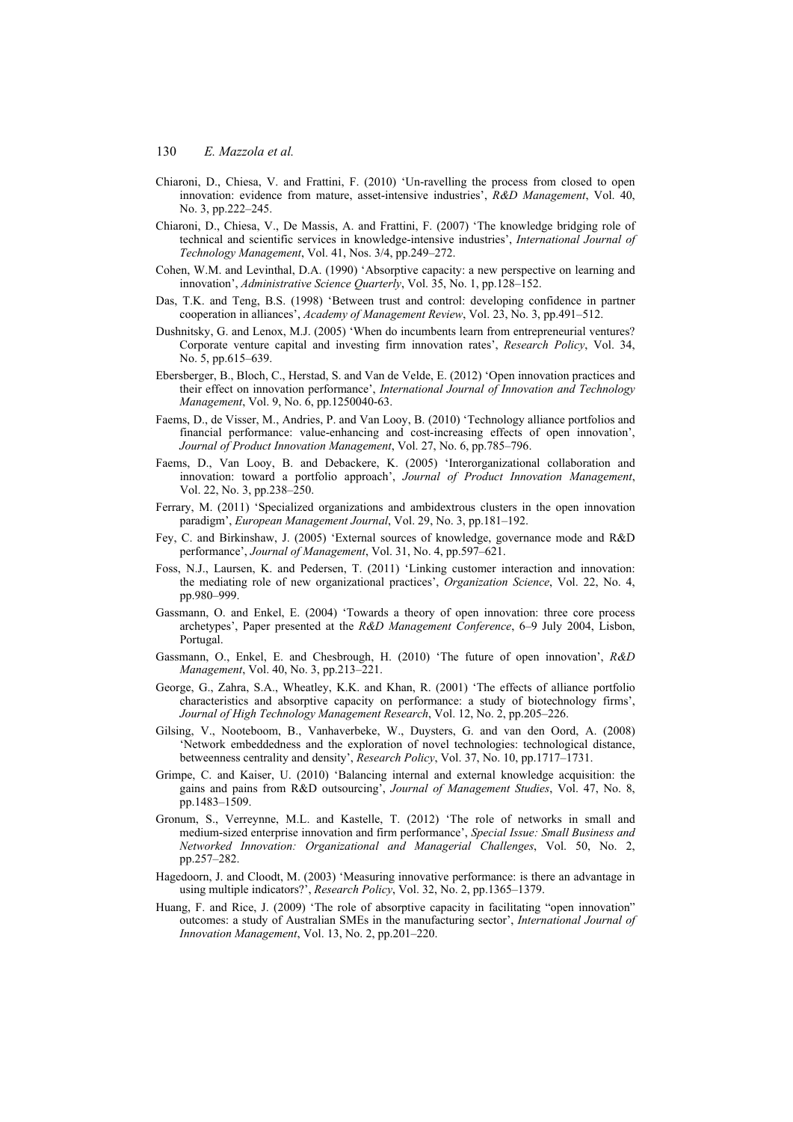- Chiaroni, D., Chiesa, V. and Frattini, F. (2010) 'Un-ravelling the process from closed to open innovation: evidence from mature, asset-intensive industries', *R&D Management*, Vol. 40, No. 3, pp.222–245.
- Chiaroni, D., Chiesa, V., De Massis, A. and Frattini, F. (2007) 'The knowledge bridging role of technical and scientific services in knowledge-intensive industries', *International Journal of Technology Management*, Vol. 41, Nos. 3/4, pp.249–272.
- Cohen, W.M. and Levinthal, D.A. (1990) 'Absorptive capacity: a new perspective on learning and innovation', *Administrative Science Quarterly*, Vol. 35, No. 1, pp.128–152.
- Das, T.K. and Teng, B.S. (1998) 'Between trust and control: developing confidence in partner cooperation in alliances', *Academy of Management Review*, Vol. 23, No. 3, pp.491–512.
- Dushnitsky, G. and Lenox, M.J. (2005) 'When do incumbents learn from entrepreneurial ventures? Corporate venture capital and investing firm innovation rates', *Research Policy*, Vol. 34, No. 5, pp.615–639.
- Ebersberger, B., Bloch, C., Herstad, S. and Van de Velde, E. (2012) 'Open innovation practices and their effect on innovation performance', *International Journal of Innovation and Technology Management*, Vol. 9, No. 6, pp.1250040-63.
- Faems, D., de Visser, M., Andries, P. and Van Looy, B. (2010) 'Technology alliance portfolios and financial performance: value-enhancing and cost-increasing effects of open innovation', *Journal of Product Innovation Management*, Vol. 27, No. 6, pp.785–796.
- Faems, D., Van Looy, B. and Debackere, K. (2005) 'Interorganizational collaboration and innovation: toward a portfolio approach', *Journal of Product Innovation Management*, Vol. 22, No. 3, pp.238–250.
- Ferrary, M. (2011) 'Specialized organizations and ambidextrous clusters in the open innovation paradigm', *European Management Journal*, Vol. 29, No. 3, pp.181–192.
- Fey, C. and Birkinshaw, J. (2005) 'External sources of knowledge, governance mode and R&D performance', *Journal of Management*, Vol. 31, No. 4, pp.597–621.
- Foss, N.J., Laursen, K. and Pedersen, T. (2011) 'Linking customer interaction and innovation: the mediating role of new organizational practices', *Organization Science*, Vol. 22, No. 4, pp.980–999.
- Gassmann, O. and Enkel, E. (2004) 'Towards a theory of open innovation: three core process archetypes', Paper presented at the *R&D Management Conference*, 6–9 July 2004, Lisbon, Portugal.
- Gassmann, O., Enkel, E. and Chesbrough, H. (2010) 'The future of open innovation', *R&D Management*, Vol. 40, No. 3, pp.213–221.
- George, G., Zahra, S.A., Wheatley, K.K. and Khan, R. (2001) 'The effects of alliance portfolio characteristics and absorptive capacity on performance: a study of biotechnology firms', *Journal of High Technology Management Research*, Vol. 12, No. 2, pp.205–226.
- Gilsing, V., Nooteboom, B., Vanhaverbeke, W., Duysters, G. and van den Oord, A. (2008) 'Network embeddedness and the exploration of novel technologies: technological distance, betweenness centrality and density', *Research Policy*, Vol. 37, No. 10, pp.1717–1731.
- Grimpe, C. and Kaiser, U. (2010) 'Balancing internal and external knowledge acquisition: the gains and pains from R&D outsourcing', *Journal of Management Studies*, Vol. 47, No. 8, pp.1483–1509.
- Gronum, S., Verreynne, M.L. and Kastelle, T. (2012) 'The role of networks in small and medium-sized enterprise innovation and firm performance', *Special Issue: Small Business and Networked Innovation: Organizational and Managerial Challenges*, Vol. 50, No. 2, pp.257–282.
- Hagedoorn, J. and Cloodt, M. (2003) 'Measuring innovative performance: is there an advantage in using multiple indicators?', *Research Policy*, Vol. 32, No. 2, pp.1365–1379.
- Huang, F. and Rice, J. (2009) 'The role of absorptive capacity in facilitating "open innovation" outcomes: a study of Australian SMEs in the manufacturing sector', *International Journal of Innovation Management*, Vol. 13, No. 2, pp.201–220.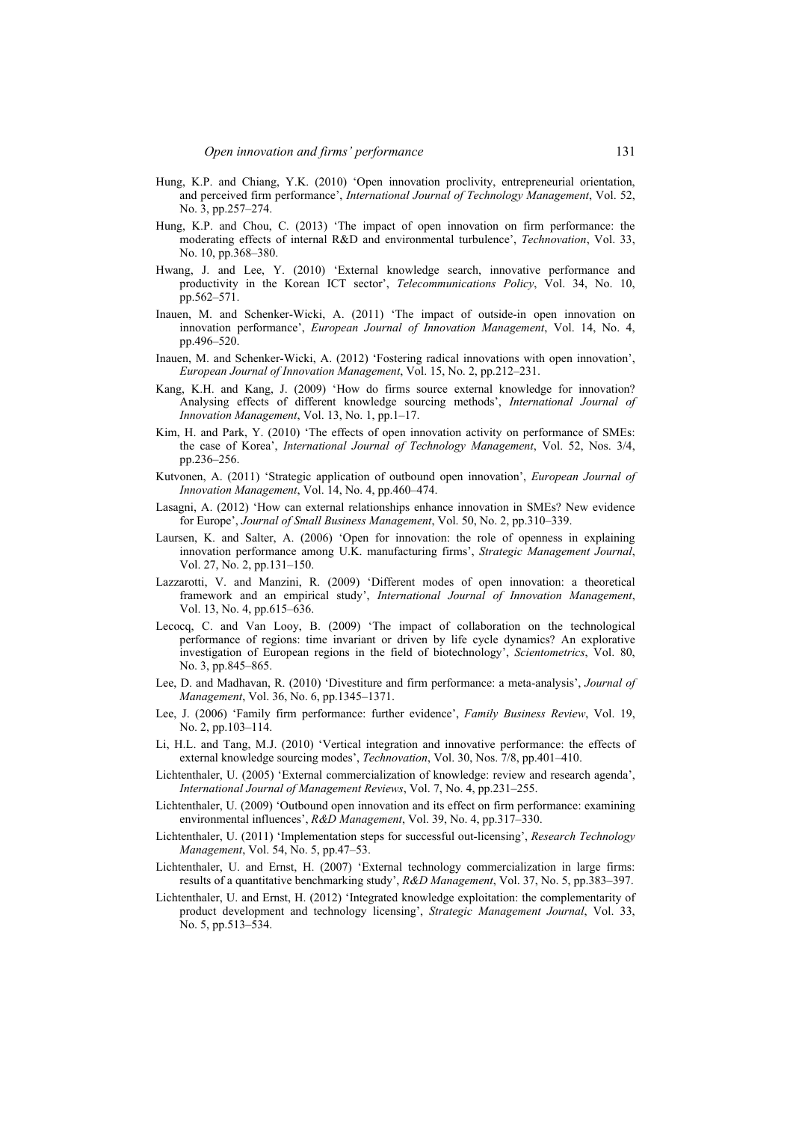- Hung, K.P. and Chiang, Y.K. (2010) 'Open innovation proclivity, entrepreneurial orientation, and perceived firm performance', *International Journal of Technology Management*, Vol. 52, No. 3, pp.257–274.
- Hung, K.P. and Chou, C. (2013) 'The impact of open innovation on firm performance: the moderating effects of internal R&D and environmental turbulence', *Technovation*, Vol. 33, No. 10, pp.368–380.
- Hwang, J. and Lee, Y. (2010) 'External knowledge search, innovative performance and productivity in the Korean ICT sector', *Telecommunications Policy*, Vol. 34, No. 10, pp.562–571.
- Inauen, M. and Schenker-Wicki, A. (2011) 'The impact of outside-in open innovation on innovation performance', *European Journal of Innovation Management*, Vol. 14, No. 4, pp.496–520.
- Inauen, M. and Schenker-Wicki, A. (2012) 'Fostering radical innovations with open innovation', *European Journal of Innovation Management*, Vol. 15, No. 2, pp.212–231.
- Kang, K.H. and Kang, J. (2009) 'How do firms source external knowledge for innovation? Analysing effects of different knowledge sourcing methods', *International Journal of Innovation Management*, Vol. 13, No. 1, pp.1–17.
- Kim, H. and Park, Y. (2010) 'The effects of open innovation activity on performance of SMEs: the case of Korea', *International Journal of Technology Management*, Vol. 52, Nos. 3/4, pp.236–256.
- Kutvonen, A. (2011) 'Strategic application of outbound open innovation', *European Journal of Innovation Management*, Vol. 14, No. 4, pp.460–474.
- Lasagni, A. (2012) 'How can external relationships enhance innovation in SMEs? New evidence for Europe', *Journal of Small Business Management*, Vol. 50, No. 2, pp.310–339.
- Laursen, K. and Salter, A. (2006) 'Open for innovation: the role of openness in explaining innovation performance among U.K. manufacturing firms', *Strategic Management Journal*, Vol. 27, No. 2, pp.131–150.
- Lazzarotti, V. and Manzini, R. (2009) 'Different modes of open innovation: a theoretical framework and an empirical study', *International Journal of Innovation Management*, Vol. 13, No. 4, pp.615–636.
- Lecocq, C. and Van Looy, B. (2009) 'The impact of collaboration on the technological performance of regions: time invariant or driven by life cycle dynamics? An explorative investigation of European regions in the field of biotechnology', *Scientometrics*, Vol. 80, No. 3, pp.845–865.
- Lee, D. and Madhavan, R. (2010) 'Divestiture and firm performance: a meta-analysis', *Journal of Management*, Vol. 36, No. 6, pp.1345–1371.
- Lee, J. (2006) 'Family firm performance: further evidence', *Family Business Review*, Vol. 19, No. 2, pp.103–114.
- Li, H.L. and Tang, M.J. (2010) 'Vertical integration and innovative performance: the effects of external knowledge sourcing modes', *Technovation*, Vol. 30, Nos. 7/8, pp.401–410.
- Lichtenthaler, U. (2005) 'External commercialization of knowledge: review and research agenda', *International Journal of Management Reviews*, Vol. 7, No. 4, pp.231–255.
- Lichtenthaler, U. (2009) 'Outbound open innovation and its effect on firm performance: examining environmental influences', *R&D Management*, Vol. 39, No. 4, pp.317–330.
- Lichtenthaler, U. (2011) 'Implementation steps for successful out-licensing', *Research Technology Management*, Vol. 54, No. 5, pp.47–53.
- Lichtenthaler, U. and Ernst, H. (2007) 'External technology commercialization in large firms: results of a quantitative benchmarking study', *R&D Management*, Vol. 37, No. 5, pp.383–397.
- Lichtenthaler, U. and Ernst, H. (2012) 'Integrated knowledge exploitation: the complementarity of product development and technology licensing', *Strategic Management Journal*, Vol. 33, No. 5, pp.513–534.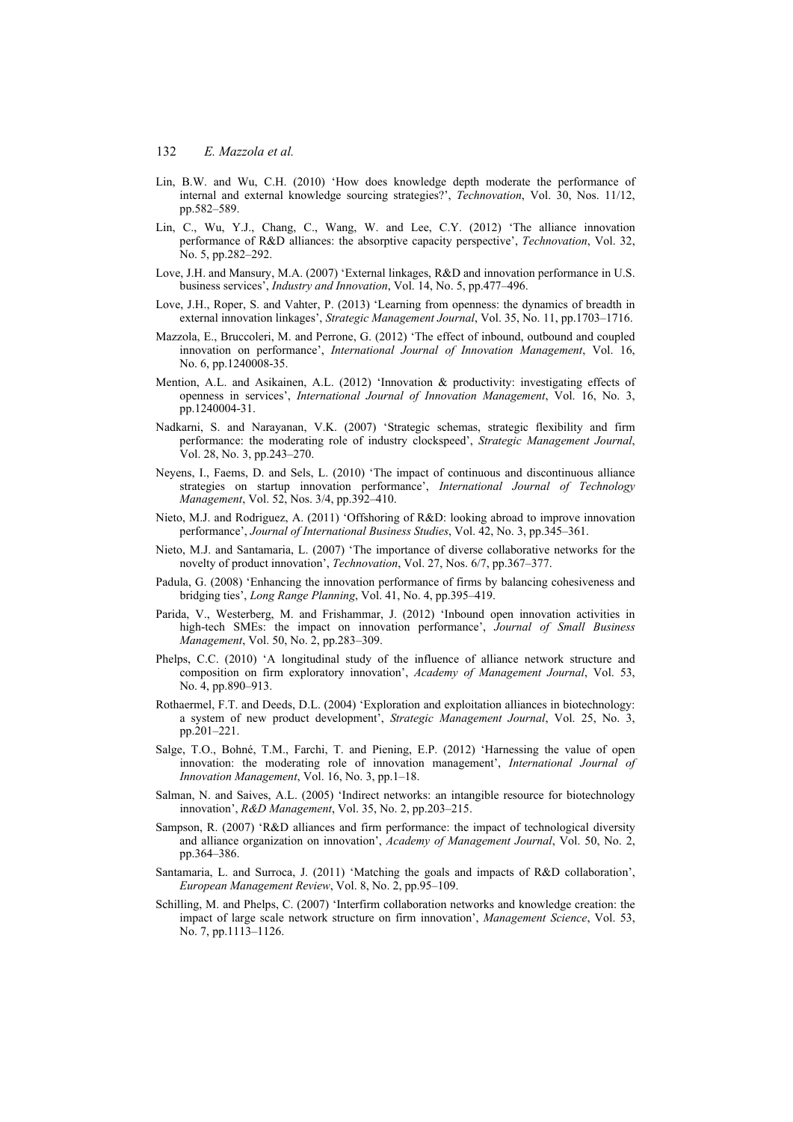- Lin, B.W. and Wu, C.H. (2010) 'How does knowledge depth moderate the performance of internal and external knowledge sourcing strategies?', *Technovation*, Vol. 30, Nos. 11/12, pp.582–589.
- Lin, C., Wu, Y.J., Chang, C., Wang, W. and Lee, C.Y. (2012) 'The alliance innovation performance of R&D alliances: the absorptive capacity perspective', *Technovation*, Vol. 32, No. 5, pp.282–292.
- Love, J.H. and Mansury, M.A. (2007) 'External linkages, R&D and innovation performance in U.S. business services', *Industry and Innovation*, Vol. 14, No. 5, pp.477–496.
- Love, J.H., Roper, S. and Vahter, P. (2013) 'Learning from openness: the dynamics of breadth in external innovation linkages', *Strategic Management Journal*, Vol. 35, No. 11, pp.1703–1716.
- Mazzola, E., Bruccoleri, M. and Perrone, G. (2012) 'The effect of inbound, outbound and coupled innovation on performance', *International Journal of Innovation Management*, Vol. 16, No. 6, pp.1240008-35.
- Mention, A.L. and Asikainen, A.L. (2012) 'Innovation & productivity: investigating effects of openness in services', *International Journal of Innovation Management*, Vol. 16, No. 3, pp.1240004-31.
- Nadkarni, S. and Narayanan, V.K. (2007) 'Strategic schemas, strategic flexibility and firm performance: the moderating role of industry clockspeed', *Strategic Management Journal*, Vol. 28, No. 3, pp.243–270.
- Neyens, I., Faems, D. and Sels, L. (2010) 'The impact of continuous and discontinuous alliance strategies on startup innovation performance', *International Journal of Technology Management*, Vol. 52, Nos. 3/4, pp.392–410.
- Nieto, M.J. and Rodriguez, A. (2011) 'Offshoring of R&D: looking abroad to improve innovation performance', *Journal of International Business Studies*, Vol. 42, No. 3, pp.345–361.
- Nieto, M.J. and Santamaria, L. (2007) 'The importance of diverse collaborative networks for the novelty of product innovation', *Technovation*, Vol. 27, Nos. 6/7, pp.367–377.
- Padula, G. (2008) 'Enhancing the innovation performance of firms by balancing cohesiveness and bridging ties', *Long Range Planning*, Vol. 41, No. 4, pp.395–419.
- Parida, V., Westerberg, M. and Frishammar, J. (2012) 'Inbound open innovation activities in high-tech SMEs: the impact on innovation performance', *Journal of Small Business Management*, Vol. 50, No. 2, pp.283–309.
- Phelps, C.C. (2010) 'A longitudinal study of the influence of alliance network structure and composition on firm exploratory innovation', *Academy of Management Journal*, Vol. 53, No. 4, pp.890–913.
- Rothaermel, F.T. and Deeds, D.L. (2004) 'Exploration and exploitation alliances in biotechnology: a system of new product development', *Strategic Management Journal*, Vol. 25, No. 3, pp.201–221.
- Salge, T.O., Bohné, T.M., Farchi, T. and Piening, E.P. (2012) 'Harnessing the value of open innovation: the moderating role of innovation management', *International Journal of Innovation Management*, Vol. 16, No. 3, pp.1–18.
- Salman, N. and Saives, A.L. (2005) 'Indirect networks: an intangible resource for biotechnology innovation', *R&D Management*, Vol. 35, No. 2, pp.203–215.
- Sampson, R. (2007) 'R&D alliances and firm performance: the impact of technological diversity and alliance organization on innovation', *Academy of Management Journal*, Vol. 50, No. 2, pp.364–386.
- Santamaria, L. and Surroca, J. (2011) 'Matching the goals and impacts of R&D collaboration', *European Management Review*, Vol. 8, No. 2, pp.95–109.
- Schilling, M. and Phelps, C. (2007) 'Interfirm collaboration networks and knowledge creation: the impact of large scale network structure on firm innovation', *Management Science*, Vol. 53, No. 7, pp.1113–1126.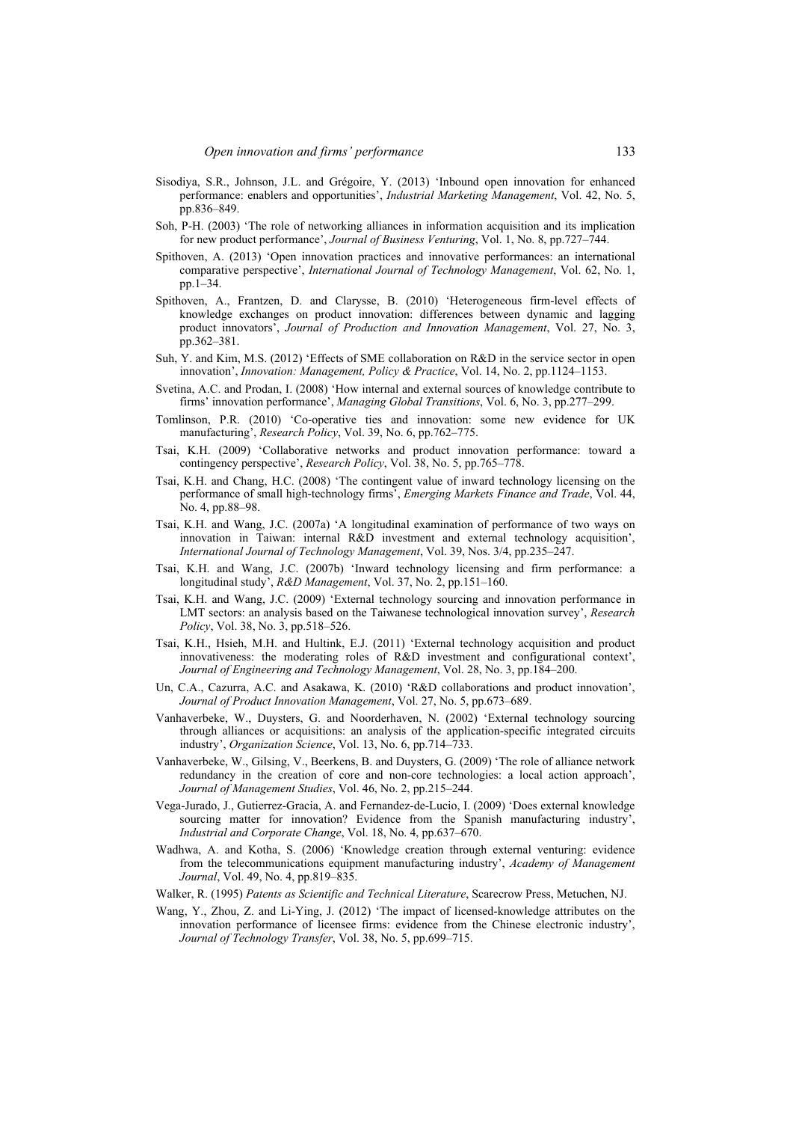- Sisodiya, S.R., Johnson, J.L. and Grégoire, Y. (2013) 'Inbound open innovation for enhanced performance: enablers and opportunities', *Industrial Marketing Management*, Vol. 42, No. 5, pp.836–849.
- Soh, P-H. (2003) 'The role of networking alliances in information acquisition and its implication for new product performance', *Journal of Business Venturing*, Vol. 1, No. 8, pp.727–744.
- Spithoven, A. (2013) 'Open innovation practices and innovative performances: an international comparative perspective', *International Journal of Technology Management*, Vol. 62, No. 1, pp.1–34.
- Spithoven, A., Frantzen, D. and Clarysse, B. (2010) 'Heterogeneous firm-level effects of knowledge exchanges on product innovation: differences between dynamic and lagging product innovators', *Journal of Production and Innovation Management*, Vol. 27, No. 3, pp.362–381.
- Suh, Y. and Kim, M.S. (2012) 'Effects of SME collaboration on R&D in the service sector in open innovation', *Innovation: Management, Policy & Practice*, Vol. 14, No. 2, pp.1124–1153.
- Svetina, A.C. and Prodan, I. (2008) 'How internal and external sources of knowledge contribute to firms' innovation performance', *Managing Global Transitions*, Vol. 6, No. 3, pp.277–299.
- Tomlinson, P.R. (2010) 'Co-operative ties and innovation: some new evidence for UK manufacturing', *Research Policy*, Vol. 39, No. 6, pp.762–775.
- Tsai, K.H. (2009) 'Collaborative networks and product innovation performance: toward a contingency perspective', *Research Policy*, Vol. 38, No. 5, pp.765–778.
- Tsai, K.H. and Chang, H.C. (2008) 'The contingent value of inward technology licensing on the performance of small high-technology firms', *Emerging Markets Finance and Trade*, Vol. 44, No. 4, pp.88–98.
- Tsai, K.H. and Wang, J.C. (2007a) 'A longitudinal examination of performance of two ways on innovation in Taiwan: internal R&D investment and external technology acquisition', *International Journal of Technology Management*, Vol. 39, Nos. 3/4, pp.235–247.
- Tsai, K.H. and Wang, J.C. (2007b) 'Inward technology licensing and firm performance: a longitudinal study', *R&D Management*, Vol. 37, No. 2, pp.151–160.
- Tsai, K.H. and Wang, J.C. (2009) 'External technology sourcing and innovation performance in LMT sectors: an analysis based on the Taiwanese technological innovation survey', *Research Policy*, Vol. 38, No. 3, pp.518–526.
- Tsai, K.H., Hsieh, M.H. and Hultink, E.J. (2011) 'External technology acquisition and product innovativeness: the moderating roles of R&D investment and configurational context', *Journal of Engineering and Technology Management*, Vol. 28, No. 3, pp.184–200.
- Un, C.A., Cazurra, A.C. and Asakawa, K. (2010) 'R&D collaborations and product innovation', *Journal of Product Innovation Management*, Vol. 27, No. 5, pp.673–689.
- Vanhaverbeke, W., Duysters, G. and Noorderhaven, N. (2002) 'External technology sourcing through alliances or acquisitions: an analysis of the application-specific integrated circuits industry', *Organization Science*, Vol. 13, No. 6, pp.714–733.
- Vanhaverbeke, W., Gilsing, V., Beerkens, B. and Duysters, G. (2009) 'The role of alliance network redundancy in the creation of core and non-core technologies: a local action approach', *Journal of Management Studies*, Vol. 46, No. 2, pp.215–244.
- Vega-Jurado, J., Gutierrez-Gracia, A. and Fernandez-de-Lucio, I. (2009) 'Does external knowledge sourcing matter for innovation? Evidence from the Spanish manufacturing industry', *Industrial and Corporate Change*, Vol. 18, No. 4, pp.637–670.
- Wadhwa, A. and Kotha, S. (2006) 'Knowledge creation through external venturing: evidence from the telecommunications equipment manufacturing industry', *Academy of Management Journal*, Vol. 49, No. 4, pp.819–835.
- Walker, R. (1995) *Patents as Scientific and Technical Literature*, Scarecrow Press, Metuchen, NJ.
- Wang, Y., Zhou, Z. and Li-Ying, J. (2012) 'The impact of licensed-knowledge attributes on the innovation performance of licensee firms: evidence from the Chinese electronic industry', *Journal of Technology Transfer*, Vol. 38, No. 5, pp.699–715.